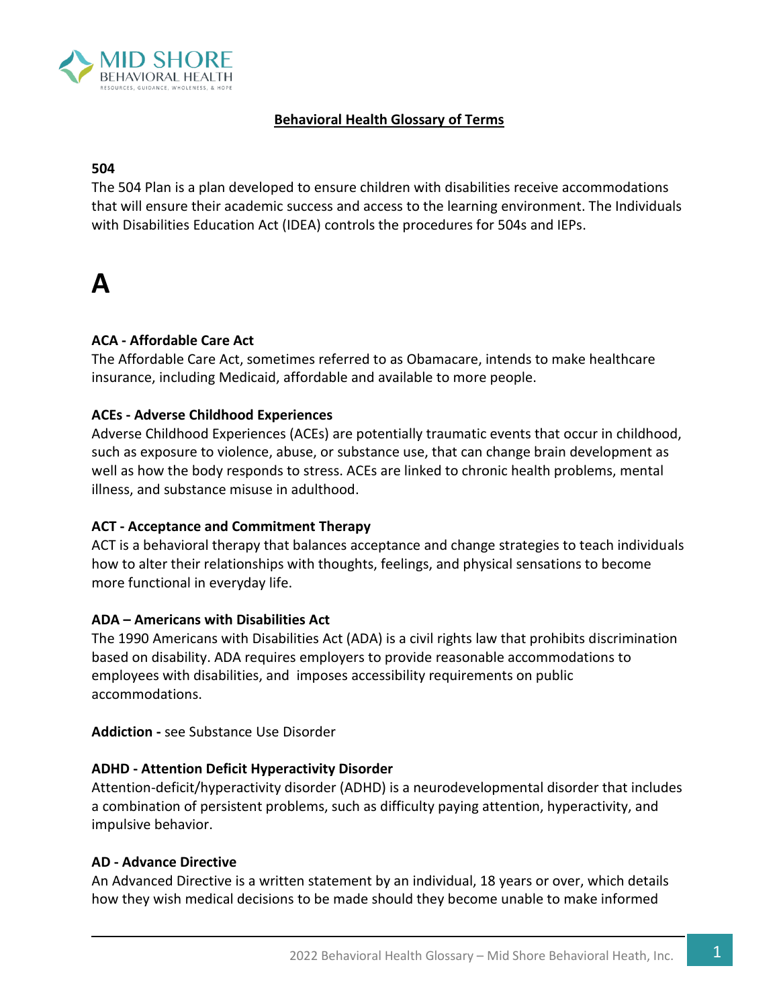

#### **Behavioral Health Glossary of Terms**

#### **504**

The 504 Plan is a plan developed to ensure children with disabilities receive accommodations that will ensure their academic success and access to the learning environment. The Individuals with Disabilities Education Act (IDEA) controls the procedures for 504s and IEPs.

### **A**

#### **ACA - Affordable Care Act**

The Affordable Care Act, sometimes referred to as Obamacare, intends to make healthcare insurance, including Medicaid, affordable and available to more people.

#### **ACEs - Adverse Childhood Experiences**

Adverse Childhood Experiences (ACEs) are potentially traumatic events that occur in childhood, such as exposure to violence, abuse, or substance use, that can change brain development as well as how the body responds to stress. ACEs are linked to chronic health problems, mental illness, and substance misuse in adulthood.

#### **ACT - Acceptance and Commitment Therapy**

ACT is a behavioral therapy that balances acceptance and change strategies to teach individuals how to alter their relationships with thoughts, feelings, and physical sensations to become more functional in everyday life.

#### **ADA – Americans with Disabilities Act**

The 1990 Americans with Disabilities Act (ADA) is a civil rights law that prohibits discrimination based on [disability](https://en.wikipedia.org/wiki/Disability). ADA requires employers to provide [reasonable accommodations](https://en.wikipedia.org/wiki/Reasonable_accommodation) to employees with disabilities, and imposes [accessibility](https://en.wikipedia.org/wiki/Accessibility) requirements on public accommodations.

**Addiction -** see Substance Use Disorder

#### **ADHD - Attention Deficit Hyperactivity Disorder**

Attention-deficit/hyperactivity disorder (ADHD) is a neurodevelopmental disorder that includes a combination of persistent problems, such as difficulty paying attention, hyperactivity, and impulsive behavior.

#### **AD - Advance Directive**

An Advanced Directive is a written statement by an individual, 18 years or over, which details how they wish medical decisions to be made should they become unable to make informed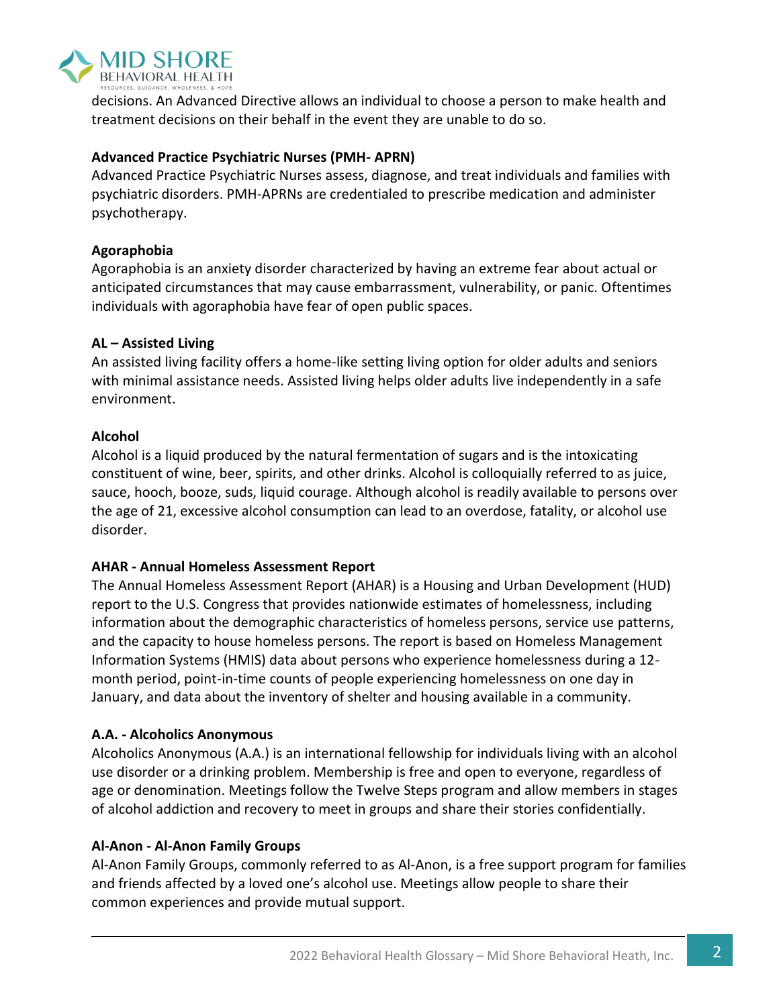

decisions. An Advanced Directive allows an individual to choose a person to make health and treatment decisions on their behalf in the event they are unable to do so.

#### **Advanced Practice Psychiatric Nurses (PMH- APRN)**

Advanced Practice Psychiatric Nurses assess, diagnose, and treat individuals and families with psychiatric disorders. PMH-APRNs are credentialed to prescribe medication and administer psychotherapy.

#### **Agoraphobia**

Agoraphobia is an anxiety disorder characterized by having an extreme fear about actual or anticipated circumstances that may cause embarrassment, vulnerability, or panic. Oftentimes individuals with agoraphobia have fear of open public spaces.

#### **AL – Assisted Living**

An assisted living facility offers a home-like setting living option for older adults and seniors with minimal assistance needs. Assisted living helps older adults live independently in a safe environment.

#### **Alcohol**

Alcohol is a liquid produced by the natural fermentation of sugars and is the intoxicating constituent of wine, beer, spirits, and other drinks. Alcohol is colloquially referred to as juice, sauce, hooch, booze, suds, liquid courage. Although alcohol is readily available to persons over the age of 21, excessive alcohol consumption can lead to an overdose, fatality, or alcohol use disorder.

#### **AHAR - Annual Homeless Assessment Report**

The Annual Homeless Assessment Report (AHAR) is a Housing and Urban Development (HUD) report to the U.S. Congress that provides nationwide estimates of homelessness, including information about the demographic characteristics of homeless persons, service use patterns, and the capacity to house homeless persons. The report is based on Homeless Management Information Systems (HMIS) data about persons who experience homelessness during a 12 month period, point-in-time counts of people experiencing homelessness on one day in January, and data about the inventory of shelter and housing available in a community.

#### **A.A. - Alcoholics Anonymous**

Alcoholics Anonymous (A.A.) is an international fellowship for individuals living with an alcohol use disorder or a drinking problem. Membership is free and open to everyone, regardless of age or denomination. Meetings follow the Twelve Steps program and allow members in stages of alcohol addiction and recovery to meet in groups and share their stories confidentially.

#### **Al-Anon - Al-Anon Family Groups**

[Al-Anon](https://al-anon.org/) Family Groups, commonly referred to as [Al-Anon,](http://al-anon.org/) is a free support program for families and friends affected by a loved one's alcohol use. Meetings allow people to share their common experiences and provide mutual support.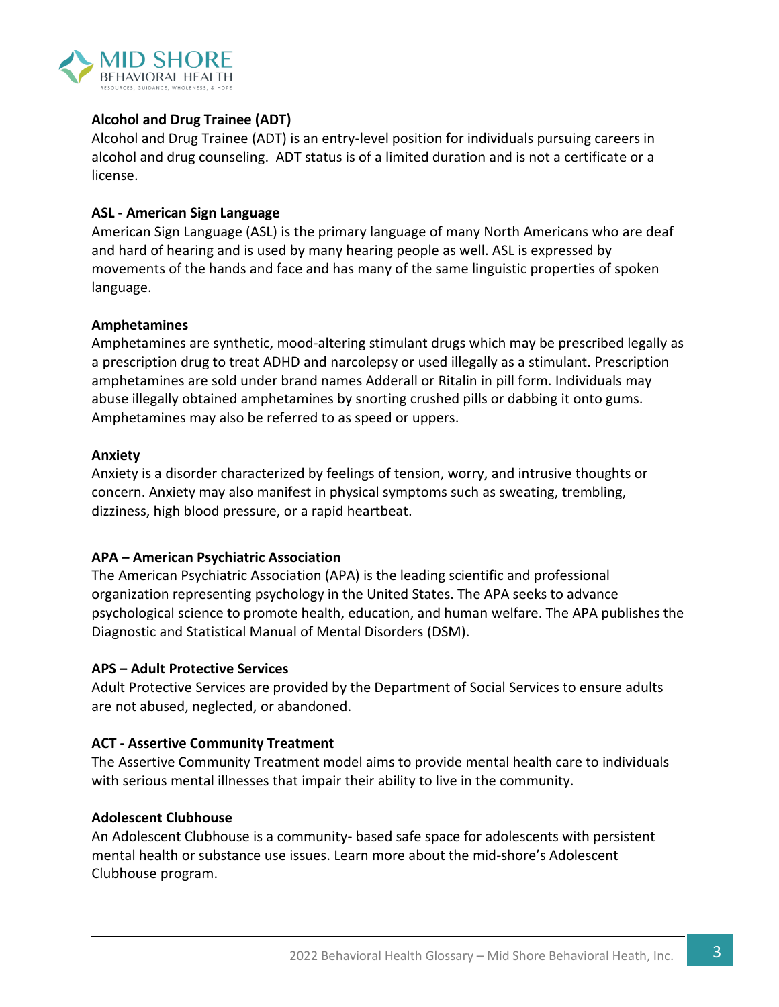

#### **Alcohol and Drug Trainee (ADT)**

Alcohol and Drug Trainee (ADT) is an entry-level position for individuals pursuing careers in alcohol and drug counseling. ADT status is of a limited duration and is not a certificate or a license.

#### **ASL - American Sign Language**

[American Sign Language \(ASL\)](https://www.nidcd.nih.gov/glossary/american-sign-language-asl) is the primary language of many North Americans who are deaf and hard of hearing and is used by many hearing people as well. ASL is expressed by movements of the hands and face and has many of the same linguistic properties of spoken language.

#### **Amphetamines**

Amphetamines are synthetic, mood-altering stimulant drugs which may be prescribed legally as a prescription drug to treat ADHD and narcolepsy or used illegally as a stimulant. Prescription amphetamines are sold under brand names Adderall or Ritalin in pill form. Individuals may abuse illegally obtained amphetamines by snorting crushed pills or dabbing it onto gums. Amphetamines may also be referred to as speed or uppers.

#### **Anxiety**

Anxiety is a disorder characterized by feelings of tension, worry, and intrusive thoughts or concern. Anxiety may also manifest in physical symptoms such as sweating, trembling, dizziness, high blood pressure, or a rapid heartbeat.

#### **APA – American Psychiatric Association**

The American Psychiatric Association (APA) is the leading scientific and professional organization representing psychology in the United States. The APA seeks to advance psychological science to promote health, education, and human welfare. The APA publishes the [Diagnostic and Statistical Manual of Mental Disorders](https://en.wikipedia.org/wiki/Diagnostic_and_Statistical_Manual_of_Mental_Disorders) (DSM).

#### **APS – Adult Protective Services**

Adult Protective Services are provided by the Department of Social Services to ensure adults are not abused, neglected, or abandoned.

#### **ACT - Assertive Community Treatment**

The Assertive Community Treatment model aims to provide mental health care to individuals with serious mental illnesses that impair their ability to live in the community.

#### **Adolescent Clubhouse**

An Adolescent Clubhouse is a community- based safe space for adolescents with persistent mental health or substance use issues. Learn more about the mid-shore's Adolescent Clubhouse program.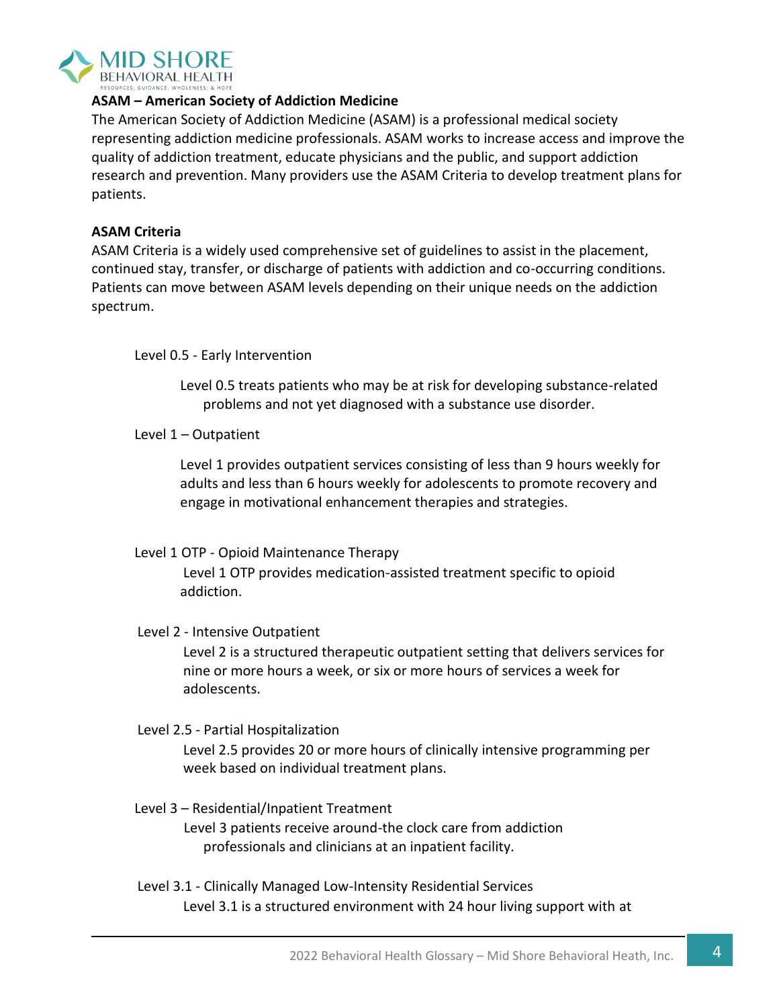

#### **ASAM – American Society of Addiction Medicine**

The American Society of Addiction Medicine (ASAM) is a professional medical society representing addiction medicine professionals. ASAM works to increase access and improve the quality of addiction treatment, educate physicians and the public, and support addiction research and prevention. Many providers use the ASAM Criteria to develop treatment plans for patients.

#### **ASAM Criteria**

ASAM Criteria is a widely used comprehensive set of guidelines to assist in the placement, continued stay, transfer, or discharge of patients with addiction and co-occurring conditions. Patients can move between ASAM levels depending on their unique needs on the addiction spectrum.

Level 0.5 - Early Intervention

Level 0.5 treats patients who may be at risk for developing substance-related problems and not yet diagnosed with a substance use disorder.

Level 1 – Outpatient

Level 1 provides outpatient services consisting of less than 9 hours weekly for adults and less than 6 hours weekly for adolescents to promote recovery and engage in motivational enhancement therapies and strategies.

#### Level 1 OTP - Opioid Maintenance Therapy

Level 1 OTP provides medication-assisted treatment specific to opioid addiction.

#### Level 2 - Intensive Outpatient

Level 2 is a structured therapeutic outpatient setting that delivers services for nine or more hours a week, or six or more hours of services a week for adolescents.

#### Level 2.5 - Partial Hospitalization

Level 2.5 provides 20 or more hours of clinically intensive programming per week based on individual treatment plans.

#### Level 3 – Residential/Inpatient Treatment

Level 3 patients receive around-the clock care from addiction professionals and clinicians at an inpatient facility.

Level 3.1 - Clinically Managed Low-Intensity Residential Services Level 3.1 is a structured environment with 24 hour living support with at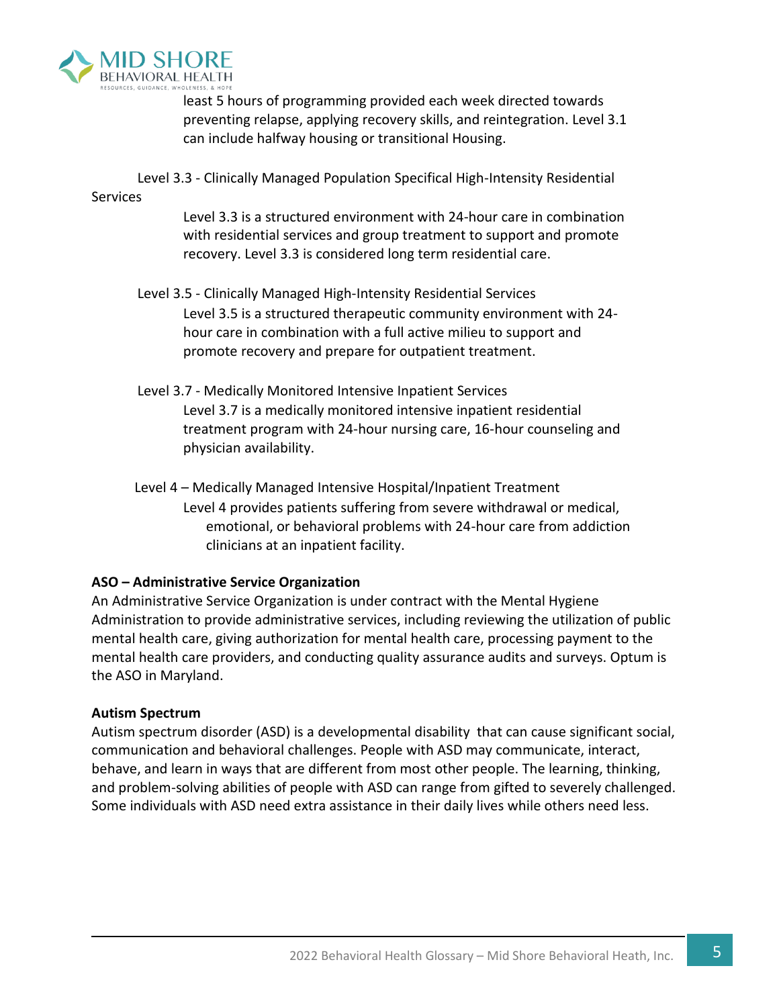

least 5 hours of programming provided each week directed towards preventing relapse, applying recovery skills, and reintegration. Level 3.1 can include halfway housing or transitional Housing.

Level 3.3 - Clinically Managed Population Specifical High-Intensity Residential

#### Services

Level 3.3 is a structured environment with 24-hour care in combination with residential services and group treatment to support and promote recovery. Level 3.3 is considered long term residential care.

- Level 3.5 Clinically Managed High-Intensity Residential Services Level 3.5 is a structured therapeutic community environment with 24 hour care in combination with a full active milieu to support and promote recovery and prepare for outpatient treatment.
- Level 3.7 Medically Monitored Intensive Inpatient Services Level 3.7 is a medically monitored intensive inpatient residential treatment program with 24-hour nursing care, 16-hour counseling and physician availability.
- Level 4 Medically Managed Intensive Hospital/Inpatient Treatment Level 4 provides patients suffering from severe withdrawal or medical, emotional, or behavioral problems with 24-hour care from addiction clinicians at an inpatient facility.

#### **ASO – Administrative Service Organization**

An Administrative Service Organization is under contract with the Mental Hygiene Administration to provide administrative services, including reviewing the utilization of public mental health care, giving authorization for mental health care, processing payment to the mental health care providers, and conducting quality assurance audits and surveys. Optum is the ASO in Maryland.

#### **Autism Spectrum**

Autism spectrum disorder (ASD) is a [developmental disability](https://www.cdc.gov/ncbddd/developmentaldisabilities/facts.html) that can cause significant social, communication and behavioral challenges. People with ASD may communicate, interact, behave, and learn in ways that are different from most other people. The learning, thinking, and problem-solving abilities of people with ASD can range from gifted to severely challenged. Some individuals with ASD need extra assistance in their daily lives while others need less.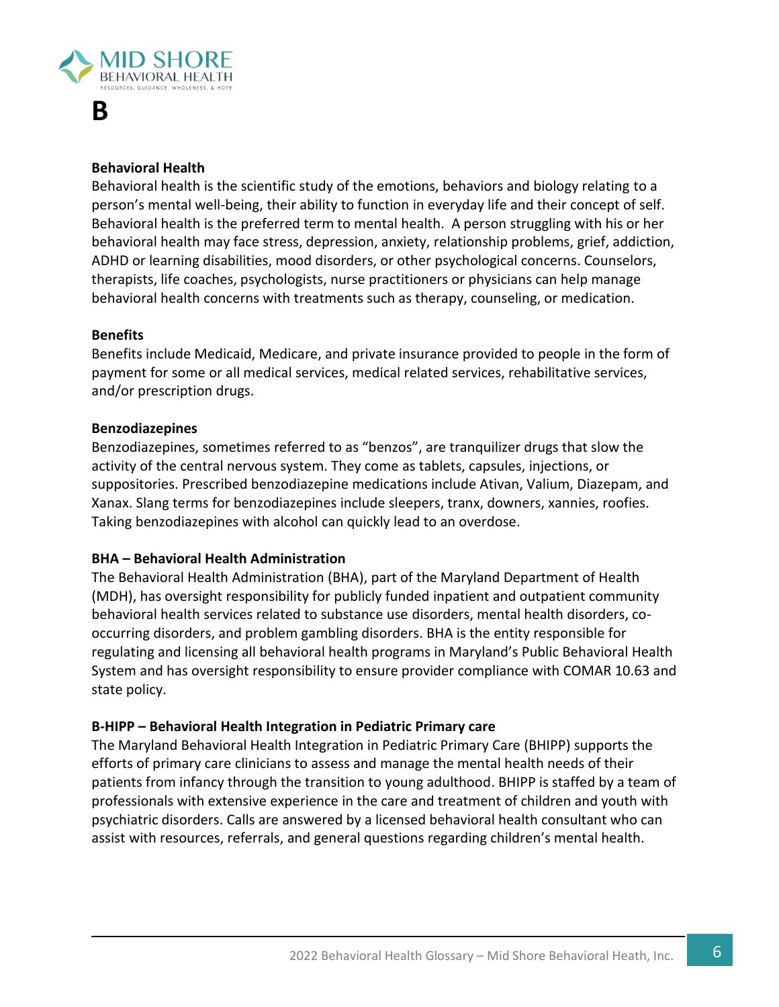

### **B**

#### **Behavioral Health**

Behavioral health is the scientific study of the emotions, behaviors and biology relating to a person's mental well-being, their ability to function in everyday life and their concept of self. Behavioral health is the preferred term to mental health. A person struggling with his or her behavioral health may face stress, depression, anxiety, relationship problems, grief, addiction, ADHD or learning disabilities, mood disorders, or other psychological concerns. Counselors, therapists, life coaches, psychologists, nurse practitioners or physicians can help manage behavioral health concerns with treatments such as therapy, counseling, or medication.

#### **Benefits**

Benefits include Medicaid, Medicare, and private insurance provided to people in the form of payment for some or all medical services, medical related services, rehabilitative services, and/or prescription drugs.

#### **Benzodiazepines**

Benzodiazepines, sometimes referred to as "benzos", are tranquilizer drugs that slow the activity of the central nervous system. They come as tablets, capsules, injections, or suppositories. Prescribed benzodiazepine medications include Ativan, Valium, Diazepam, and Xanax. Slang terms for benzodiazepines include sleepers, tranx, downers, xannies, roofies. Taking benzodiazepines with alcohol can quickly lead to an overdose.

#### **BHA – Behavioral Health Administration**

The Behavioral Health Administration (BHA), part of the Maryland Department of Health (MDH), has oversight responsibility for publicly funded inpatient and outpatient community behavioral health services related to substance use disorders, mental health disorders, cooccurring disorders, and problem gambling disorders. BHA is the entity responsible for regulating and licensing all behavioral health programs in Maryland's Public Behavioral Health System and has oversight responsibility to ensure provider compliance with COMAR 10.63 and state policy.

#### **B-HIPP – Behavioral Health Integration in Pediatric Primary care**

The Maryland Behavioral Health Integration in Pediatric Primary Care (BHIPP) supports the efforts of primary care clinicians to assess and manage the mental health needs of their patients from infancy through the transition to young adulthood. BHIPP is staffed by a team of professionals with extensive experience in the care and treatment of children and youth with psychiatric disorders. Calls are answered by a licensed behavioral health consultant who can assist with resources, referrals, and general questions regarding children's mental health.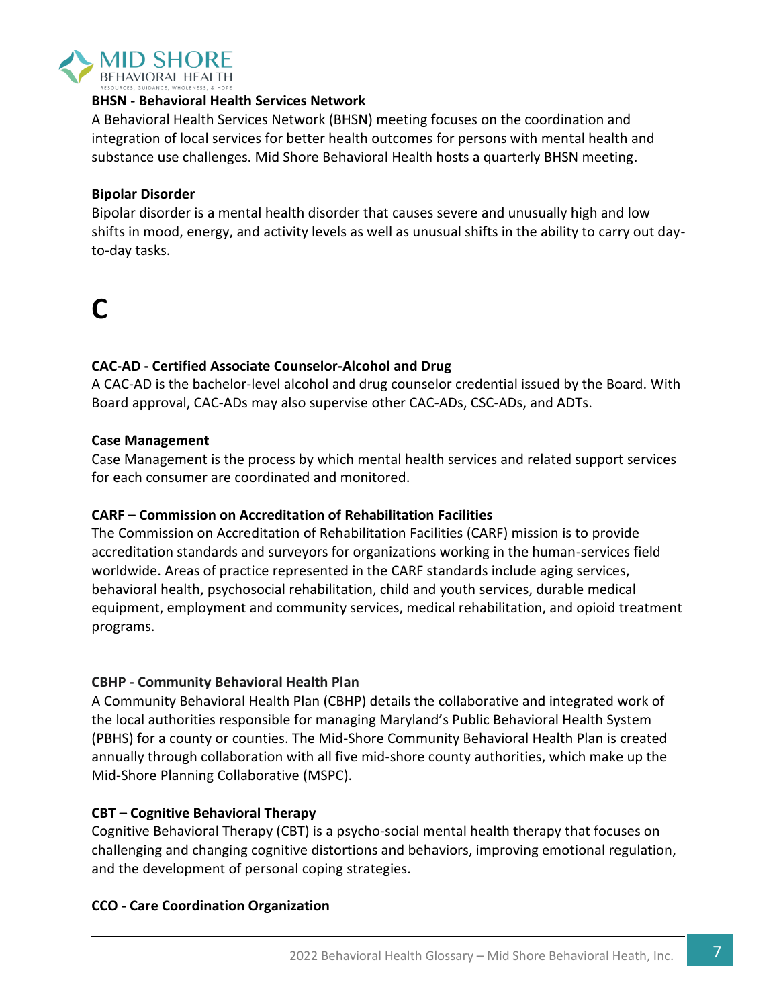

#### **BHSN - Behavioral Health Services Network**

A Behavioral Health Services Network (BHSN) meeting focuses on the coordination and integration of local services for better health outcomes for persons with mental health and substance use challenges. Mid Shore Behavioral Health hosts a quarterly BHSN meeting.

#### **Bipolar Disorder**

Bipolar disorder is a mental health disorder that causes severe and unusually high and low shifts in mood, energy, and activity levels as well as unusual shifts in the ability to carry out dayto-day tasks.

## **C**

#### **CAC-AD - Certified Associate Counselor-Alcohol and Drug**

A CAC-AD is the bachelor-level alcohol and drug counselor credential issued by the Board. With Board approval, CAC-ADs may also supervise other CAC-ADs, CSC-ADs, and ADTs.

#### **Case Management**

Case Management is the process by which mental health services and related support services for each consumer are coordinated and monitored.

#### **CARF – Commission on Accreditation of Rehabilitation Facilities**

The Commission on Accreditation of Rehabilitation Facilities (CARF) mission is to provide accreditation standards and surveyors for organizations working in the human-services field worldwide. Areas of practice represented in the CARF standards include aging services, behavioral health, psychosocial rehabilitation, child and youth services, durable medical equipment, employment and community services, medical rehabilitation, and opioid treatment programs.

#### **CBHP - Community Behavioral Health Plan**

A Community Behavioral Health Plan (CBHP) details the collaborative and integrated work of the local authorities responsible for managing Maryland's Public Behavioral Health System (PBHS) for a county or counties. The Mid-Shore Community Behavioral Health Plan is created annually through collaboration with all five mid-shore county authorities, which make up the Mid-Shore Planning Collaborative (MSPC).

#### **CBT – Cognitive Behavioral Therapy**

Cognitive Behavioral Therapy (CBT) is a psycho-social mental health therapy that focuses on challenging and changing cognitive distortions and behaviors, improving emotional regulation, and the development of personal coping strategies.

#### **CCO - Care Coordination Organization**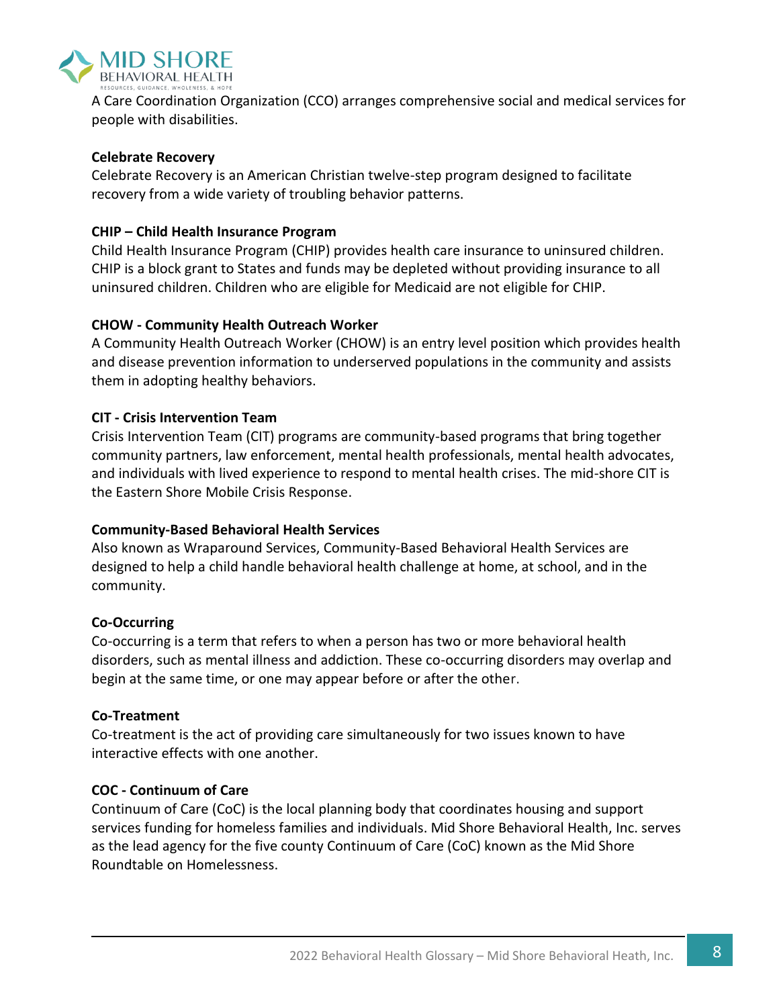

A Care Coordination Organization (CCO) arranges comprehensive social and medical services for people with disabilities.

#### **Celebrate Recovery**

Celebrate Recovery is an American Christian twelve-step program designed to facilitate recovery from a wide variety of troubling behavior patterns.

#### **CHIP – Child Health Insurance Program**

Child Health Insurance Program (CHIP) provides health care insurance to uninsured children. CHIP is a block grant to States and funds may be depleted without providing insurance to all uninsured children. Children who are eligible for Medicaid are not eligible for CHIP.

#### **CHOW - Community Health Outreach Worker**

A Community Health Outreach Worker (CHOW) is an entry level position which provides health and disease prevention information to underserved populations in the community and assists them in adopting healthy behaviors.

#### **CIT - Crisis Intervention Team**

Crisis Intervention Team (CIT) programs are community-based programs that bring together community partners, law enforcement, mental health professionals, mental health advocates, and individuals with lived experience to respond to mental health crises. The mid-shore CIT is the Eastern Shore Mobile Crisis Response.

#### **Community-Based Behavioral Health Services**

Also known as Wraparound Services, Community-Based Behavioral Health Services are designed to help a child handle behavioral health challenge at home, at school, and in the community.

#### **Co-Occurring**

Co-occurring is a term that refers to when a person has two or more behavioral health disorders, such as mental illness and addiction. These co-occurring disorders may overlap and begin at the same time, or one may appear before or after the other.

#### **Co-Treatment**

Co-treatment is the act of providing care simultaneously for two issues known to have interactive effects with one another.

#### **COC - Continuum of Care**

Continuum of Care (CoC) is the local planning body that coordinates housing and support services funding for homeless families and individuals. Mid Shore Behavioral Health, Inc. serves as the lead agency for the five county Continuum of Care (CoC) known as the Mid Shore Roundtable on Homelessness.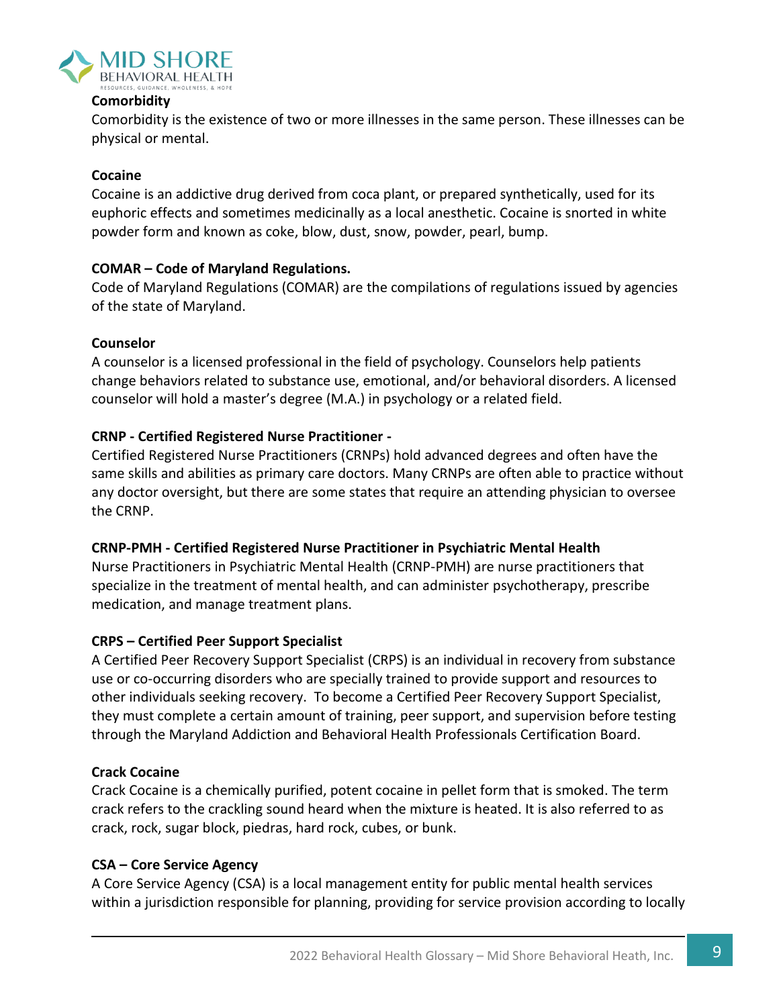

#### **Comorbidity**

Comorbidity is the existence of two or more illnesses in the same person. These illnesses can be physical or mental.

#### **Cocaine**

Cocaine is an addictive drug derived from coca plant, or prepared synthetically, used for its euphoric effects and sometimes medicinally as a local anesthetic. Cocaine is snorted in white powder form and known as coke, blow, dust, snow, powder, pearl, bump.

#### **COMAR – Code of Maryland Regulations.**

Code of Maryland Regulations (COMAR) are the compilations of regulations issued by agencies of the state of Maryland.

#### **Counselor**

A counselor is a licensed professional in the field of psychology. Counselors help patients change behaviors related to substance use, emotional, and/or behavioral disorders. A licensed counselor will hold a master's degree (M.A.) in psychology or a related field.

#### **CRNP - Certified Registered Nurse Practitioner -**

Certified Registered Nurse Practitioners (CRNPs) hold advanced degrees and often have the same skills and abilities as primary care doctors. Many CRNPs are often able to practice without any doctor oversight, but there are some states that require an attending physician to oversee the CRNP.

#### **CRNP-PMH - Certified Registered Nurse Practitioner in Psychiatric Mental Health**

Nurse Practitioners in Psychiatric Mental Health (CRNP-PMH) are nurse practitioners that specialize in the treatment of mental health, and can administer psychotherapy, prescribe medication, and manage treatment plans.

#### **CRPS – Certified Peer Support Specialist**

A Certified Peer Recovery Support Specialist (CRPS) is an individual in recovery from substance use or co-occurring disorders who are specially trained to provide support and resources to other individuals seeking recovery. To become a Certified Peer Recovery Support Specialist, they must complete a certain amount of training, peer support, and supervision before testing through the Maryland Addiction and Behavioral Health Professionals Certification Board.

#### **Crack Cocaine**

Crack Cocaine is a chemically purified, potent cocaine in pellet form that is smoked. The term crack refers to the crackling sound heard when the mixture is heated. It is also referred to as crack, rock, sugar block, piedras, hard rock, cubes, or bunk.

#### **CSA – Core Service Agency**

A Core Service Agency (CSA) is a local management entity for public mental health services within a jurisdiction responsible for planning, providing for service provision according to locally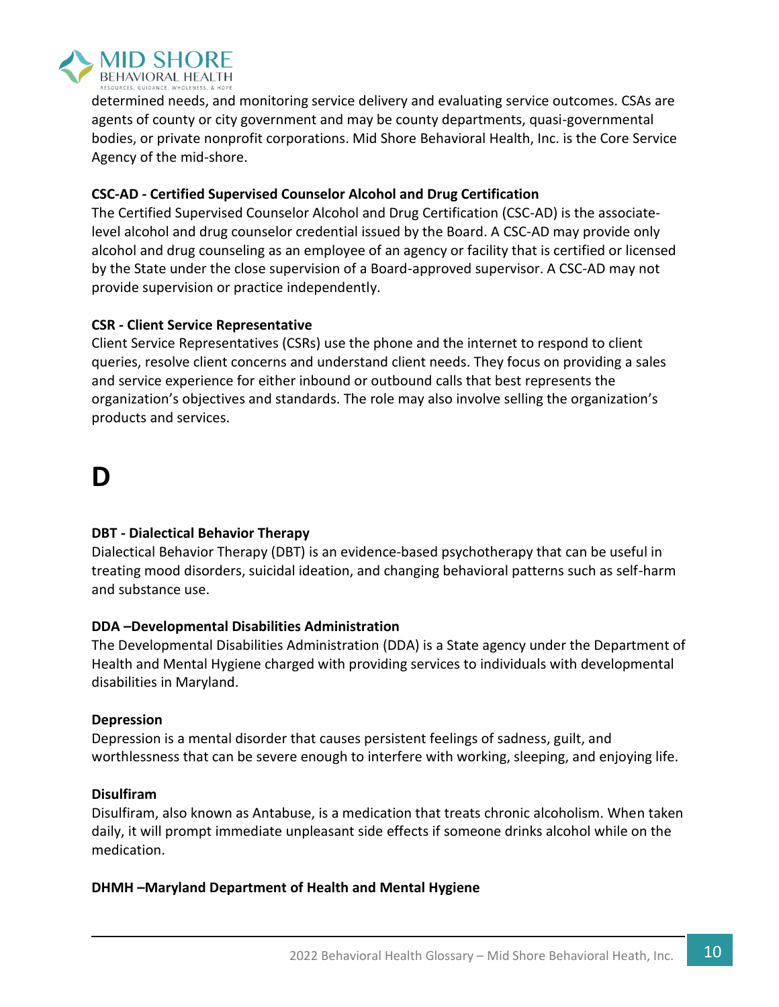

determined needs, and monitoring service delivery and evaluating service outcomes. CSAs are agents of county or city government and may be county departments, quasi-governmental bodies, or private nonprofit corporations. Mid Shore Behavioral Health, Inc. is the Core Service Agency of the mid-shore.

#### **CSC-AD - Certified Supervised Counselor Alcohol and Drug Certification**

The Certified Supervised Counselor Alcohol and Drug Certification (CSC-AD) is the associatelevel alcohol and drug counselor credential issued by the Board. A CSC-AD may provide only alcohol and drug counseling as an employee of an agency or facility that is certified or licensed by the State under the close supervision of a Board-approved supervisor. A CSC-AD may not provide supervision or practice independently.

#### **CSR - Client Service Representative**

Client Service Representatives (CSRs) use the phone and the internet to respond to client queries, resolve client concerns and understand client needs. They focus on providing a sales and service experience for either inbound or outbound calls that best represents the organization's objectives and standards. The role may also involve selling the organization's products and services.

### **D**

#### **DBT - Dialectical Behavior Therapy**

Dialectical Behavior Therapy (DBT) is an evidence-based psychotherapy that can be useful in treating mood disorders, suicidal ideation, and changing behavioral patterns such as self-harm and substance use.

#### **DDA –Developmental Disabilities Administration**

The Developmental Disabilities Administration (DDA) is a State agency under the Department of Health and Mental Hygiene charged with providing services to individuals with developmental disabilities in Maryland.

#### **Depression**

Depression is a mental disorder that causes persistent feelings of sadness, guilt, and worthlessness that can be severe enough to interfere with working, sleeping, and enjoying life.

#### **Disulfiram**

Disulfiram, also known as Antabuse, is a medication that treats chronic alcoholism. When taken daily, it will prompt immediate unpleasant side effects if someone drinks alcohol while on the medication.

#### **DHMH –Maryland Department of Health and Mental Hygiene**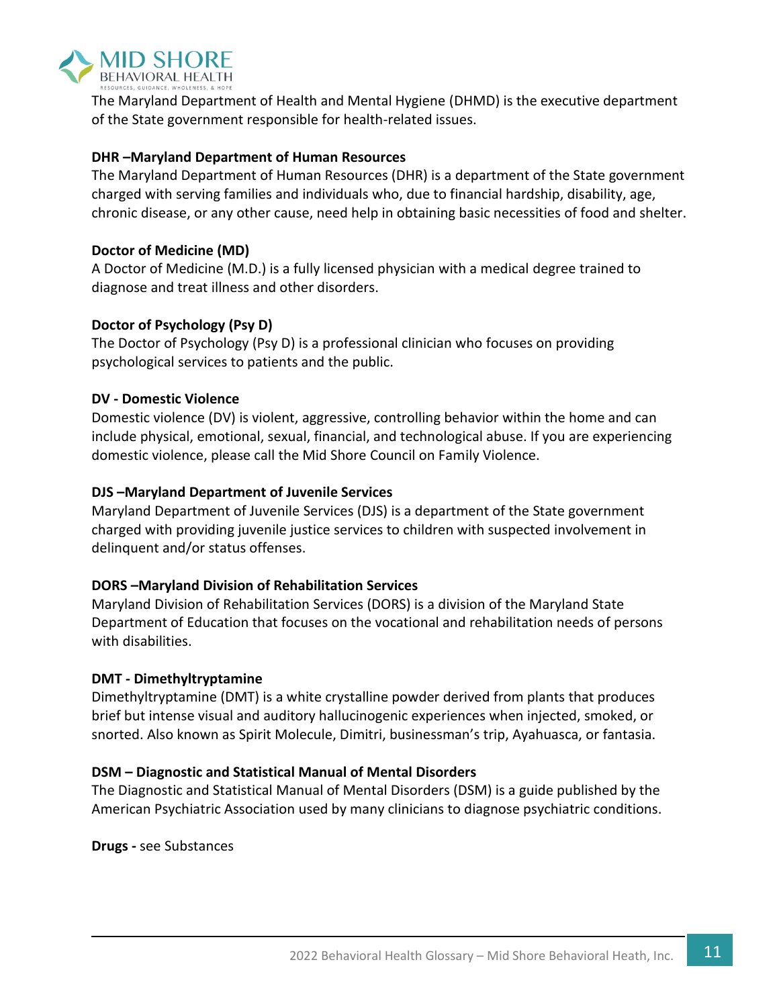

The Maryland Department of Health and Mental Hygiene (DHMD) is the executive department of the State government responsible for health-related issues.

#### **DHR –Maryland Department of Human Resources**

The Maryland Department of Human Resources (DHR) is a department of the State government charged with serving families and individuals who, due to financial hardship, disability, age, chronic disease, or any other cause, need help in obtaining basic necessities of food and shelter.

#### **Doctor of Medicine (MD)**

A Doctor of Medicine (M.D.) is a fully licensed physician with a medical degree trained to diagnose and treat illness and other disorders.

#### **Doctor of Psychology (Psy D)**

The Doctor of Psychology (Psy D) is a professional clinician who focuses on providing psychological services to patients and the public.

#### **DV - Domestic Violence**

Domestic violence (DV) is violent, aggressive, controlling behavior within the home and can include physical, emotional, sexual, financial, and technological abuse. If you are experiencing domestic violence, please call the Mid Shore Council on Family Violence.

#### **DJS –Maryland Department of Juvenile Services**

Maryland Department of Juvenile Services (DJS) is a department of the State government charged with providing juvenile justice services to children with suspected involvement in delinquent and/or status offenses.

#### **DORS –Maryland Division of Rehabilitation Services**

Maryland Division of Rehabilitation Services (DORS) is a division of the Maryland State Department of Education that focuses on the vocational and rehabilitation needs of persons with disabilities.

#### **DMT - Dimethyltryptamine**

Dimethyltryptamine (DMT) is a white crystalline powder derived from plants that produces brief but intense visual and auditory hallucinogenic experiences when injected, smoked, or snorted. Also known as Spirit Molecule, Dimitri, businessman's trip, Ayahuasca, or fantasia.

#### **DSM – Diagnostic and Statistical Manual of Mental Disorders**

The Diagnostic and Statistical Manual of Mental Disorders (DSM) is a guide published by the American Psychiatric Association used by many clinicians to diagnose psychiatric conditions.

**Drugs -** see Substances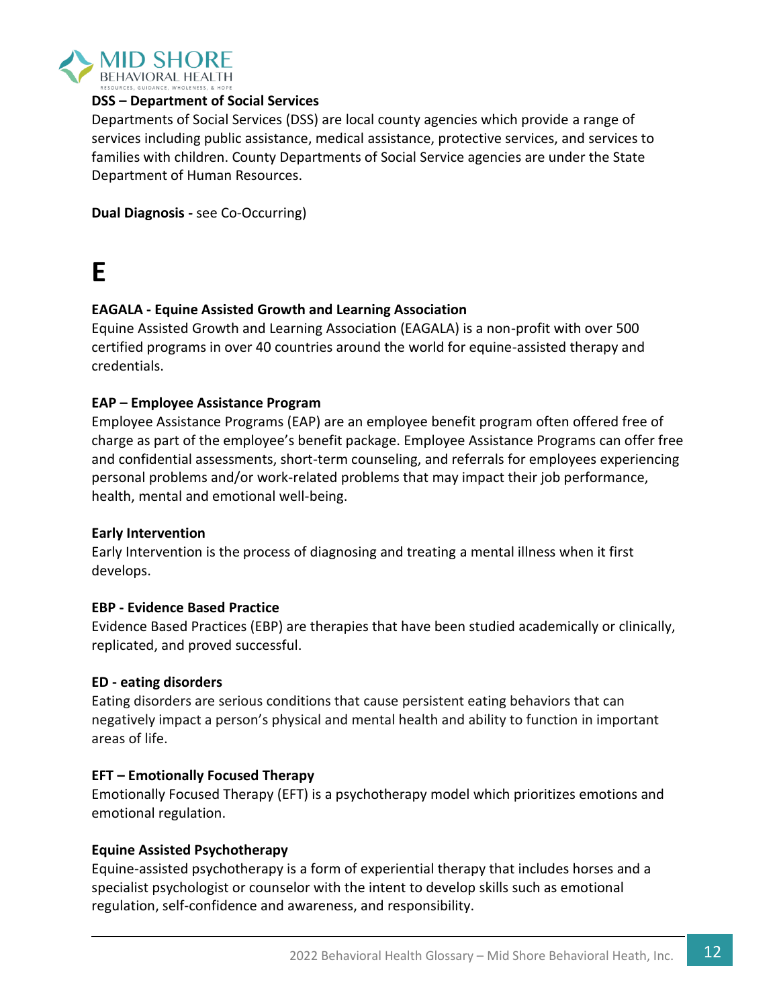

#### **DSS – Department of Social Services**

Departments of Social Services (DSS) are local county agencies which provide a range of services including public assistance, medical assistance, protective services, and services to families with children. County Departments of Social Service agencies are under the State Department of Human Resources.

**Dual Diagnosis -** see Co-Occurring)

# **E**

#### **EAGALA - Equine Assisted Growth and Learning Association**

Equine Assisted Growth and Learning Association (EAGALA) is a non-profit with over 500 certified programs in over 40 countries around the world for equine-assisted therapy and credentials.

#### **EAP – Employee Assistance Program**

Employee Assistance Programs (EAP) are an employee benefit program often offered free of charge as part of the employee's benefit package. Employee Assistance Programs can offer free and confidential assessments, short-term counseling, and referrals for employees experiencing personal problems and/or work-related problems that may impact their job performance, health, mental and emotional well-being.

#### **Early Intervention**

Early Intervention is the process of diagnosing and treating a mental illness when it first develops.

#### **EBP - Evidence Based Practice**

Evidence Based Practices (EBP) are therapies that have been studied academically or clinically, replicated, and proved successful.

#### **ED - eating disorders**

Eating disorders are serious conditions that cause persistent eating behaviors that can negatively impact a person's physical and mental health and ability to function in important areas of life.

#### **EFT – Emotionally Focused Therapy**

Emotionally Focused Therapy (EFT) is a psychotherapy model which prioritizes emotions and emotional regulation.

#### **Equine Assisted Psychotherapy**

Equine-assisted psychotherapy is a form of experiential therapy that includes horses and a specialist psychologist or counselor with the intent to develop skills such as emotional regulation, self-confidence and awareness, and responsibility.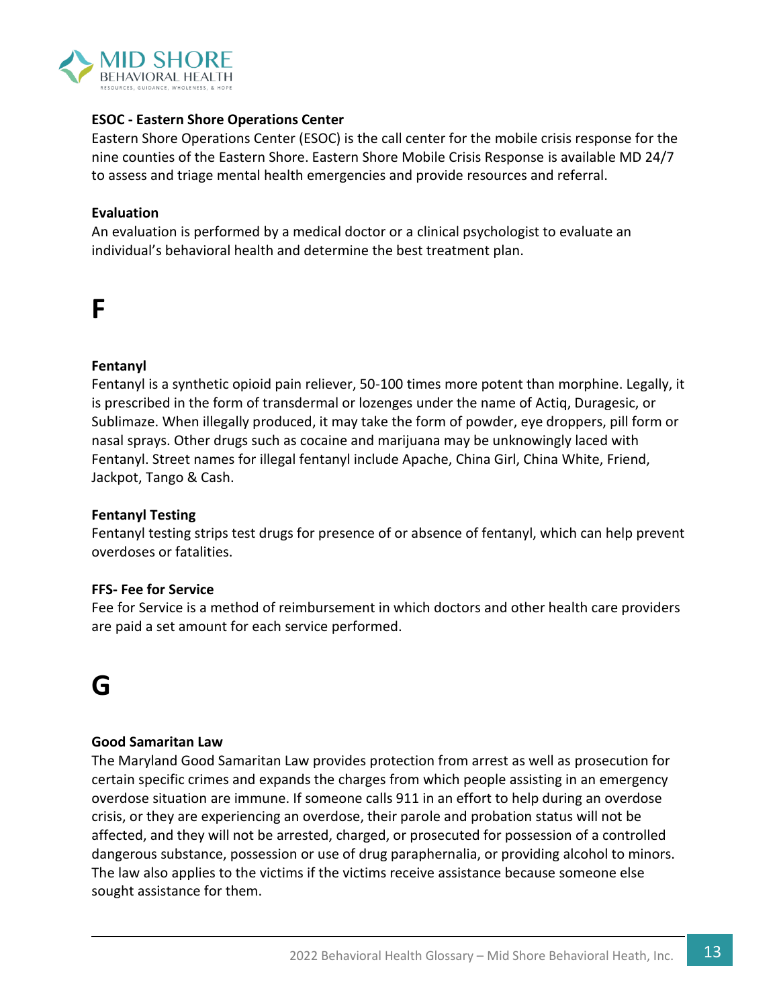

#### **ESOC - Eastern Shore Operations Center**

Eastern Shore Operations Center (ESOC) is the call center for the mobile crisis response for the nine counties of the Eastern Shore. Eastern Shore Mobile Crisis Response is available MD 24/7 to assess and triage mental health emergencies and provide resources and referral.

#### **Evaluation**

An evaluation is performed by a medical doctor or a clinical psychologist to evaluate an individual's behavioral health and determine the best treatment plan.

### **F**

#### **Fentanyl**

Fentanyl is a synthetic opioid pain reliever, 50-100 times more potent than morphine. Legally, it is prescribed in the form of transdermal or lozenges under the name of Actiq, Duragesic, or Sublimaze. When illegally produced, it may take the form of powder, eye droppers, pill form or nasal sprays. Other drugs such as cocaine and marijuana may be unknowingly laced with Fentanyl. Street names for illegal fentanyl include Apache, China Girl, China White, Friend, Jackpot, Tango & Cash.

#### **Fentanyl Testing**

Fentanyl testing strips test drugs for presence of or absence of fentanyl, which can help prevent overdoses or fatalities.

#### **FFS- Fee for Service**

Fee for Service is a method of reimbursement in which doctors and other health care providers are paid a set amount for each service performed.

### **G**

#### **Good Samaritan Law**

The Maryland Good Samaritan Law provides protection from arrest as well as prosecution for certain specific crimes and expands the charges from which people assisting in an emergency overdose situation are immune. If someone calls 911 in an effort to help during an overdose crisis, or they are experiencing an overdose, their parole and probation status will not be affected, and they will not be arrested, charged, or prosecuted for possession of a controlled dangerous substance, possession or use of drug paraphernalia, or providing alcohol to minors. The law also applies to the victims if the victims receive assistance because someone else sought assistance for them.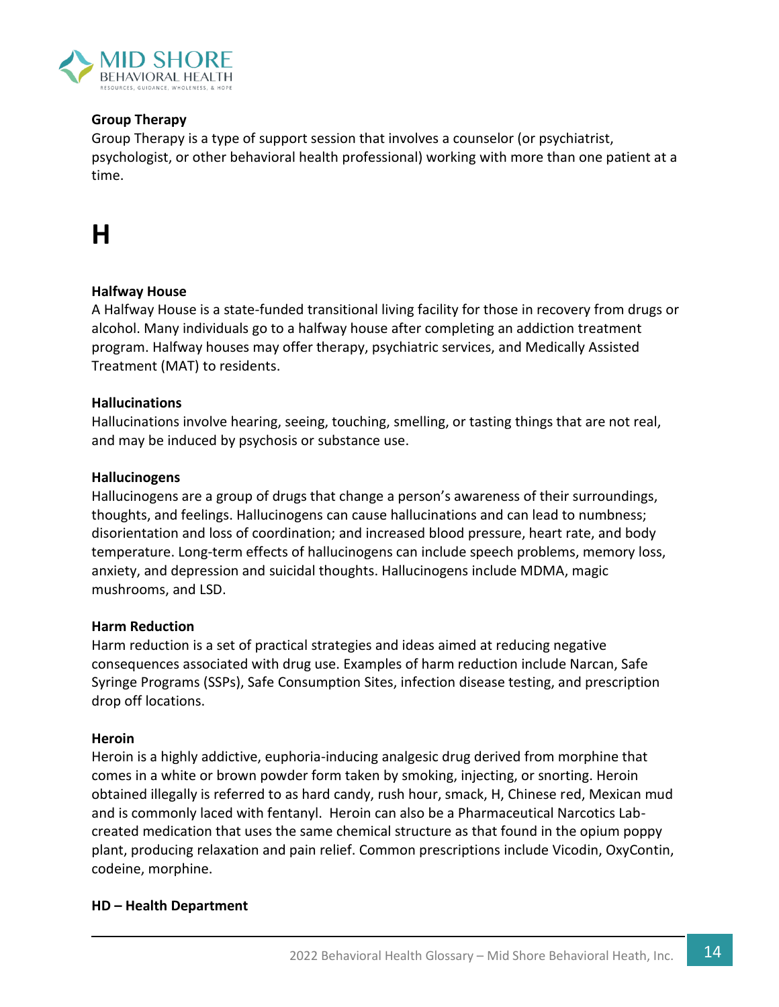

#### **Group Therapy**

Group Therapy is a type of support session that involves a counselor (or psychiatrist, psychologist, or other behavioral health professional) working with more than one patient at a time.

# **H**

#### **Halfway House**

A Halfway House is a state-funded transitional living facility for those in recovery from drugs or alcohol. Many individuals go to a halfway house after completing an addiction treatment program. Halfway houses may offer therapy, psychiatric services, and Medically Assisted Treatment (MAT) to residents.

#### **Hallucinations**

Hallucinations involve hearing, seeing, touching, smelling, or tasting things that are not real, and may be induced by psychosis or substance use.

#### **Hallucinogens**

Hallucinogens are a group of drugs that change a person's awareness of their surroundings, thoughts, and feelings. Hallucinogens can cause hallucinations and can lead to numbness; disorientation and loss of coordination; and increased blood pressure, heart rate, and body temperature. Long-term effects of hallucinogens can include speech problems, memory loss, anxiety, and depression and [suicidal thoughts.](https://teens.drugabuse.gov/blog/post/how-get-help-if-you-or-someone-you-know-suicidal) Hallucinogens include MDMA, magic mushrooms, and LSD.

#### **Harm Reduction**

Harm reduction is a set of practical strategies and ideas aimed at reducing negative consequences associated with drug use. Examples of harm reduction include Narcan, Safe Syringe Programs (SSPs), Safe Consumption Sites, infection disease testing, and prescription drop off locations.

#### **Heroin**

Heroin is a highly addictive, euphoria-inducing analgesic drug derived from morphine that comes in a white or brown powder form taken by smoking, injecting, or snorting. Heroin obtained illegally is referred to as hard candy, rush hour, smack, H, Chinese red, Mexican mud and is commonly laced with fentanyl. Heroin can also be a Pharmaceutical Narcotics Labcreated medication that uses the same chemical structure as that found in the opium poppy plant, producing relaxation and pain relief. Common prescriptions include Vicodin, OxyContin, codeine, morphine.

#### **HD – Health Department**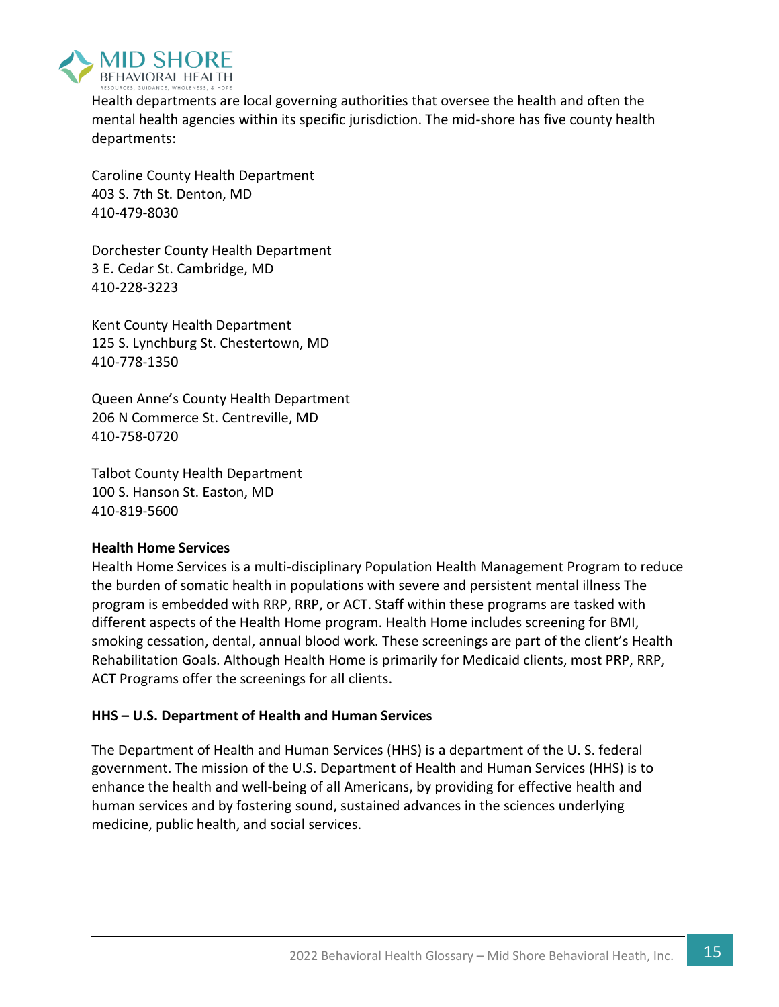

Health departments are local governing authorities that oversee the health and often the mental health agencies within its specific jurisdiction. The mid-shore has five county health departments:

Caroline County Health Department 403 S. 7th St. Denton, MD 410-479-8030

Dorchester County Health Department 3 E. Cedar St. Cambridge, MD 410-228-3223

Kent County Health Department 125 S. Lynchburg St. Chestertown, MD 410-778-1350

Queen Anne's County Health Department 206 N Commerce St. Centreville, MD 410-758-0720

Talbot County Health Department 100 S. Hanson St. Easton, MD 410-819-5600

#### **Health Home Services**

Health Home Services is a multi-disciplinary Population Health Management Program to reduce the burden of somatic health in populations with severe and persistent mental illness The program is embedded with RRP, RRP, or ACT. Staff within these programs are tasked with different aspects of the Health Home program. Health Home includes screening for BMI, smoking cessation, dental, annual blood work. These screenings are part of the client's Health Rehabilitation Goals. Although Health Home is primarily for Medicaid clients, most PRP, RRP, ACT Programs offer the screenings for all clients.

#### **HHS – U.S. Department of Health and Human Services**

The Department of Health and Human Services (HHS) is a department of the U. S. federal government. The mission of the U.S. Department of Health and Human Services (HHS) is to enhance the health and well-being of all Americans, by providing for effective health and human services and by fostering sound, sustained advances in the sciences underlying medicine, public health, and social services.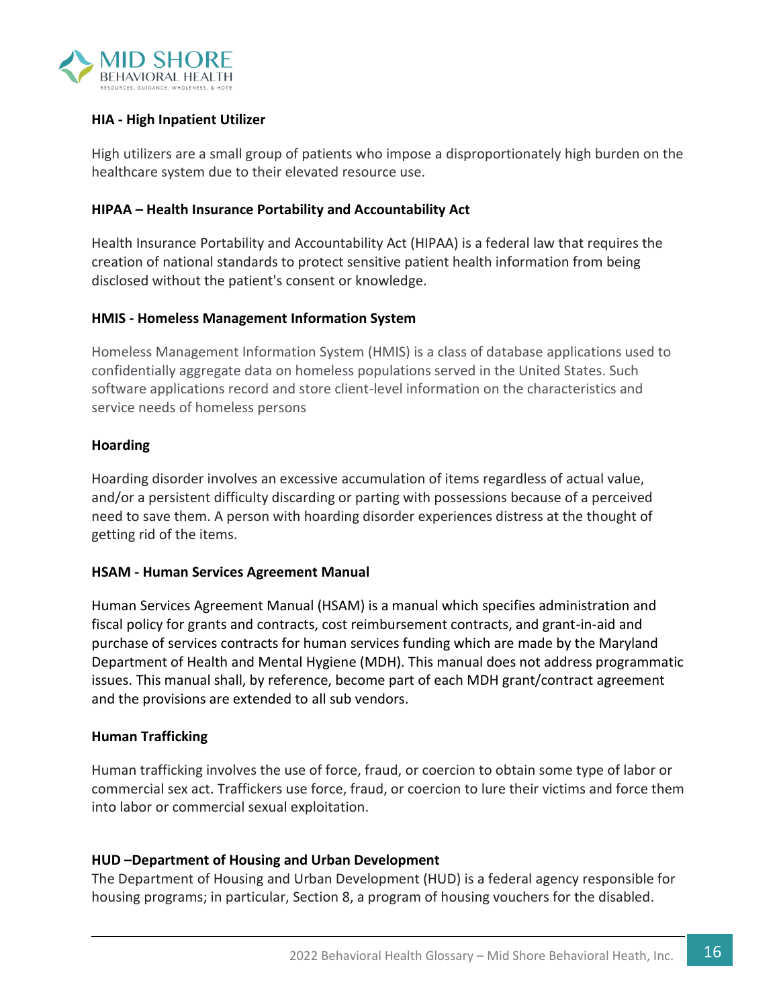

#### **HIA - High Inpatient Utilizer**

High utilizers are a small group of patients who impose a disproportionately high burden on the healthcare system due to their elevated resource use.

#### **HIPAA – Health Insurance Portability and Accountability Act**

Health Insurance Portability and Accountability Act (HIPAA) is a federal law that requires the creation of national standards to protect sensitive patient health information from being disclosed without the patient's consent or knowledge.

#### **HMIS - Homeless Management Information System**

Homeless Management Information System (HMIS) is a class of database applications used to confidentially aggregate data on homeless populations served in the United States. Such software applications record and store client-level information on the characteristics and service needs of homeless persons

#### **Hoarding**

Hoarding disorder involves an excessive accumulation of items regardless of actual value, and/or a persistent difficulty discarding or parting with possessions because of a perceived need to save them. A person with hoarding disorder experiences distress at the thought of getting rid of the items.

#### **HSAM - Human Services Agreement Manual**

Human Services Agreement Manual (HSAM) is a manual which specifies administration and fiscal policy for grants and contracts, cost reimbursement contracts, and grant-in-aid and purchase of services contracts for human services funding which are made by the Maryland Department of Health and Mental Hygiene (MDH). This manual does not address programmatic issues. This manual shall, by reference, become part of each MDH grant/contract agreement and the provisions are extended to all sub vendors.

#### **Human Trafficking**

Human trafficking involves the use of force, fraud, or coercion to obtain some type of labor or commercial sex act. Traffickers use force, fraud, or coercion to lure their victims and force them into labor or commercial sexual exploitation.

#### **HUD –Department of Housing and Urban Development**

The Department of Housing and Urban Development (HUD) is a federal agency responsible for housing programs; in particular, Section 8, a program of housing vouchers for the disabled.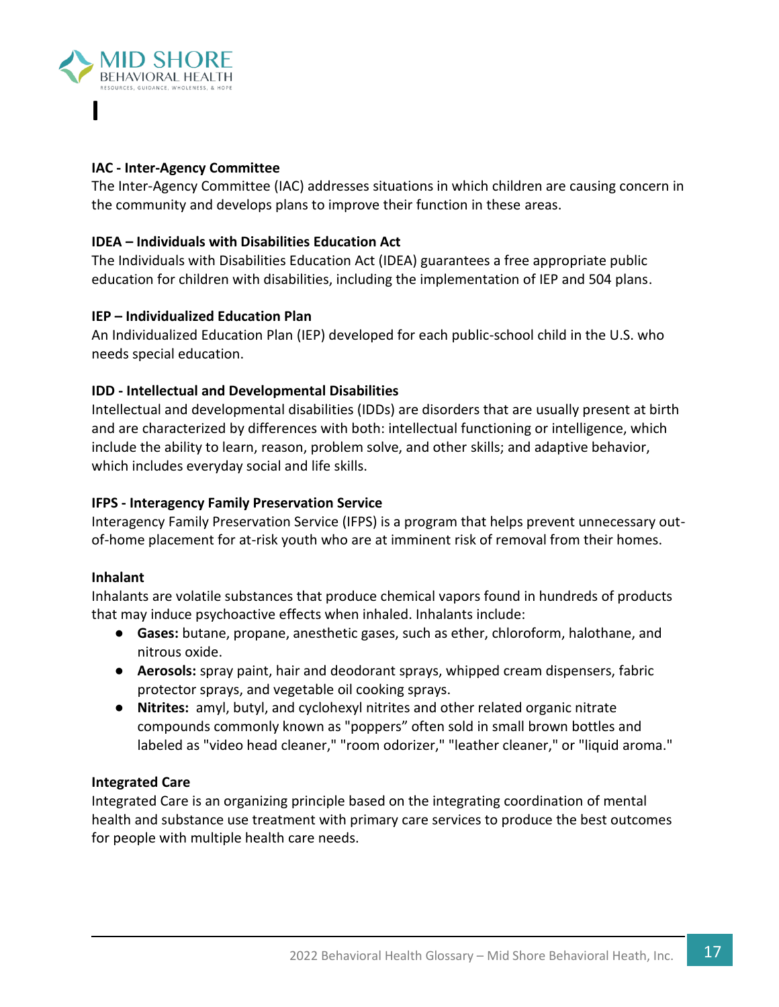

#### **IAC - Inter-Agency Committee**

The Inter-Agency Committee (IAC) addresses situations in which children are causing concern in the community and develops plans to improve their function in these areas.

#### **IDEA – Individuals with Disabilities Education Act**

The Individuals with Disabilities Education Act (IDEA) guarantees a free appropriate public education for children with disabilities, including the implementation of IEP and 504 plans.

#### **IEP – Individualized Education Plan**

An Individualized Education Plan (IEP) developed for each public-school child in the U.S. who needs special education.

#### **IDD - Intellectual and Developmental Disabilities**

Intellectual and developmental disabilities (IDDs) are disorders that are usually present at birth and are characterized by differences with both: intellectual functioning or intelligence, which include the ability to learn, reason, problem solve, and other skills; and adaptive behavior, which includes everyday social and life skills.

#### **IFPS - Interagency Family Preservation Service**

Interagency Family Preservation Service (IFPS) is a program that helps prevent unnecessary outof-home placement for at-risk youth who are at imminent risk of removal from their homes.

#### **Inhalant**

Inhalants are volatile substances that produce chemical vapors found in hundreds of products that may induce psychoactive effects when inhaled. Inhalants include:

- **Gases:** butane, propane, anesthetic gases, such as ether, chloroform, halothane, and nitrous oxide.
- **Aerosols:** spray paint, hair and deodorant sprays, whipped cream dispensers, fabric protector sprays, and vegetable oil cooking sprays.
- **Nitrites:** amyl, butyl, and cyclohexyl nitrites and other related organic nitrate compounds commonly known as "poppers" often sold in small brown bottles and labeled as "video head cleaner," "room odorizer," "leather cleaner," or "liquid aroma."

#### **Integrated Care**

Integrated Care is an organizing principle based on the integrating coordination of mental health and substance use treatment with primary care services to produce the best outcomes for people with multiple health care needs.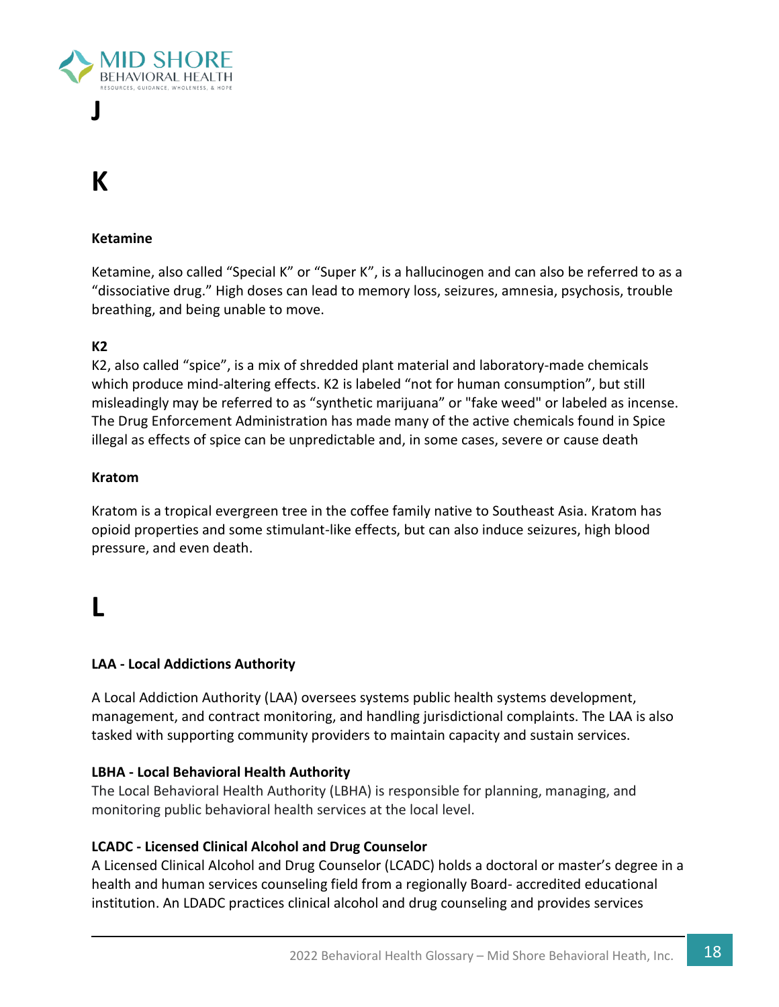

# **K**

#### **Ketamine**

Ketamine, also called "Special K" or "Super K", is a hallucinogen and can also be referred to as a "dissociative drug." High doses can lead to memory loss, seizures, amnesia, psychosis, trouble breathing, and being unable to move.

#### **K2**

K2, also called "spice", is a mix of shredded plant material and laboratory-made chemicals which produce mind-altering effects. K2 is labeled "not for human consumption", but still misleadingly may be referred to as "synthetic marijuana" or "fake weed" or labeled as incense. The Drug Enforcement Administration has made many of the active chemicals found in Spice illegal as effects of spice can be unpredictable and, in some cases, severe or cause death

#### **Kratom**

Kratom is a tropical evergreen tree in the coffee family native to Southeast Asia. Kratom has opioid properties and some stimulant-like effects, but can also induce seizures, high blood pressure, and even death.

### **L**

#### **LAA - Local Addictions Authority**

A Local Addiction Authority (LAA) oversees systems public health systems development, management, and contract monitoring, and handling jurisdictional complaints. The LAA is also tasked with supporting community providers to maintain capacity and sustain services.

#### **LBHA - Local Behavioral Health Authority**

The Local Behavioral Health Authority (LBHA) is responsible for planning, managing, and monitoring public behavioral health services at the local level.

#### **LCADC - Licensed Clinical Alcohol and Drug Counselor**

A Licensed Clinical Alcohol and Drug Counselor (LCADC) holds a doctoral or master's degree in a health and human services counseling field from a regionally Board- accredited educational institution. An LDADC practices clinical alcohol and drug counseling and provides services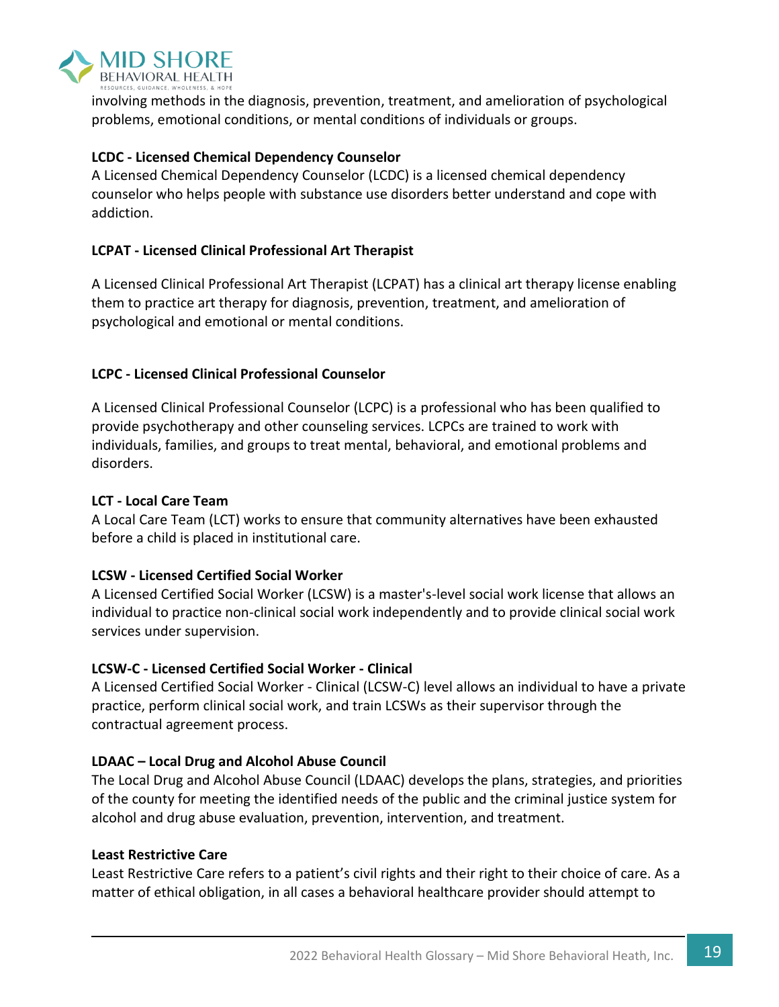

involving methods in the diagnosis, prevention, treatment, and amelioration of psychological problems, emotional conditions, or mental conditions of individuals or groups.

#### **LCDC - Licensed Chemical Dependency Counselor**

A Licensed Chemical Dependency Counselor (LCDC) is a licensed chemical dependency counselor who helps people with substance use disorders better understand and cope with addiction.

#### **LCPAT - Licensed Clinical Professional Art Therapist**

A Licensed Clinical Professional Art Therapist (LCPAT) has a clinical art therapy license enabling them to practice art therapy for diagnosis, prevention, treatment, and amelioration of psychological and emotional or mental conditions.

#### **LCPC - Licensed Clinical Professional Counselor**

A Licensed Clinical Professional Counselor (LCPC) is a professional who has been qualified to provide psychotherapy and other counseling services. LCPCs are trained to work with individuals, families, and groups to treat mental, behavioral, and emotional problems and disorders.

#### **LCT - Local Care Team**

A Local Care Team (LCT) works to ensure that community alternatives have been exhausted before a child is placed in institutional care.

#### **LCSW - Licensed Certified Social Worker**

A Licensed Certified Social Worker (LCSW) is a master's-level social work license that allows an individual to practice non-clinical social work independently and to provide clinical social work services under supervision.

#### **LCSW-C - Licensed Certified Social Worker - Clinical**

A Licensed Certified Social Worker - Clinical (LCSW-C) level allows an individual to have a private practice, perform clinical social work, and train LCSWs as their supervisor through the contractual agreement process.

#### **LDAAC – Local Drug and Alcohol Abuse Council**

The Local Drug and Alcohol Abuse Council (LDAAC) develops the plans, strategies, and priorities of the county for meeting the identified needs of the public and the criminal justice system for alcohol and drug abuse evaluation, prevention, intervention, and treatment.

#### **Least Restrictive Care**

Least Restrictive Care refers to a patient's civil rights and their right to their choice of care. As a matter of ethical obligation, in all cases a behavioral healthcare provider should attempt to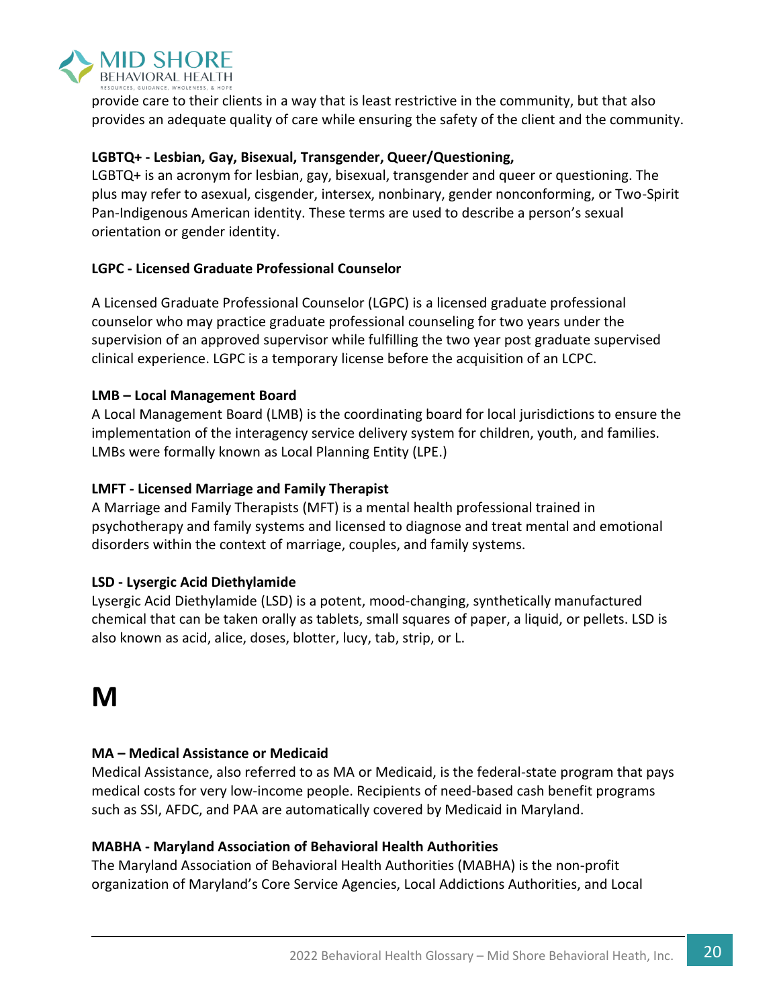

provide care to their clients in a way that is least restrictive in the community, but that also provides an adequate quality of care while ensuring the safety of the client and the community.

#### **LGBTQ+ - Lesbian, Gay, Bisexual, Transgender, Queer/Questioning,**

LGBTQ+ is an acronym for lesbian, gay, bisexual, transgender and queer or questioning. The plus may refer to asexual, cisgender, intersex, nonbinary, gender nonconforming, or Two-Spirit Pan-Indigenous American identity. These terms are used to describe a person's sexual orientation or gender identity.

#### **LGPC - Licensed Graduate Professional Counselor**

A Licensed Graduate Professional Counselor (LGPC) is a licensed graduate professional counselor who may practice graduate professional counseling for two years under the supervision of an approved supervisor while fulfilling the two year post graduate supervised clinical experience. LGPC is a temporary license before the acquisition of an LCPC.

#### **LMB – Local Management Board**

A Local Management Board (LMB) is the coordinating board for local jurisdictions to ensure the implementation of the interagency service delivery system for children, youth, and families. LMBs were formally known as Local Planning Entity (LPE.)

#### **LMFT - Licensed Marriage and Family Therapist**

A Marriage and Family Therapists (MFT) is a mental health professional trained in psychotherapy and family systems and licensed to diagnose and treat mental and emotional disorders within the context of marriage, couples, and family systems.

#### **LSD - Lysergic Acid Diethylamide**

Lysergic Acid Diethylamide (LSD) is a potent, mood-changing, synthetically manufactured chemical that can be taken orally as tablets, small squares of paper, a liquid, or pellets. LSD is also known as acid, alice, doses, blotter, lucy, tab, strip, or L.

# **M**

#### **MA – Medical Assistance or Medicaid**

Medical Assistance, also referred to as MA or Medicaid, is the federal-state program that pays medical costs for very low-income people. Recipients of need-based cash benefit programs such as SSI, AFDC, and PAA are automatically covered by Medicaid in Maryland.

#### **MABHA - Maryland Association of Behavioral Health Authorities**

The Maryland Association of Behavioral Health Authorities (MABHA) is the non-profit organization of Maryland's Core Service Agencies, Local Addictions Authorities, and Local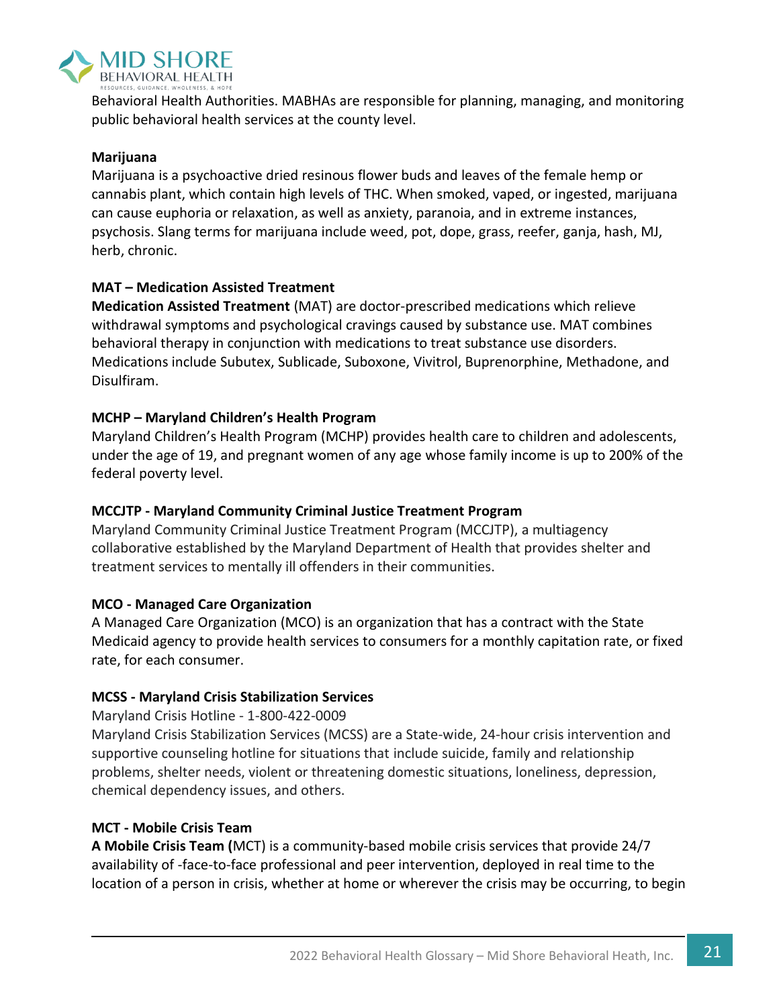

Behavioral Health Authorities. MABHAs are responsible for planning, managing, and monitoring public behavioral health services at the county level.

#### **Marijuana**

Marijuana is a psychoactive dried resinous flower buds and leaves of the female hemp or cannabis plant, which contain high levels of THC. When smoked, vaped, or ingested, marijuana can cause euphoria or relaxation, as well as anxiety, paranoia, and in extreme instances, psychosis. Slang terms for marijuana include weed, pot, dope, grass, reefer, ganja, hash, MJ, herb, chronic.

#### **MAT – Medication Assisted Treatment**

**Medication Assisted Treatment** (MAT) are doctor-prescribed medications which relieve withdrawal symptoms and psychological cravings caused by substance use. MAT combines behavioral therapy in conjunction with medications to treat substance use disorders. Medications include Subutex, Sublicade, Suboxone, Vivitrol, Buprenorphine, Methadone, and Disulfiram.

#### **MCHP – Maryland Children's Health Program**

Maryland Children's Health Program (MCHP) provides health care to children and adolescents, under the age of 19, and pregnant women of any age whose family income is up to 200% of the federal poverty level.

#### **MCCJTP - Maryland Community Criminal Justice Treatment Program**

Maryland Community Criminal Justice Treatment Program (MCCJTP), a multiagency collaborative established by the Maryland Department of Health that provides shelter and treatment services to mentally ill offenders in their communities.

#### **MCO - Managed Care Organization**

A Managed Care Organization (MCO) is an organization that has a contract with the State Medicaid agency to provide health services to consumers for a monthly capitation rate, or fixed rate, for each consumer.

#### **MCSS - Maryland Crisis Stabilization Services**

Maryland Crisis Hotline - 1-800-422-0009

Maryland Crisis Stabilization Services (MCSS) are a State-wide, 24-hour crisis intervention and supportive counseling hotline for situations that include suicide, family and relationship problems, shelter needs, violent or threatening domestic situations, loneliness, depression, chemical dependency issues, and others.

#### **MCT - Mobile Crisis Team**

**A Mobile Crisis Team (**MCT) is a community-based mobile crisis services that provide 24/7 availability of -face-to-face professional and peer intervention, deployed in real time to the location of a person in crisis, whether at home or wherever the crisis may be occurring, to begin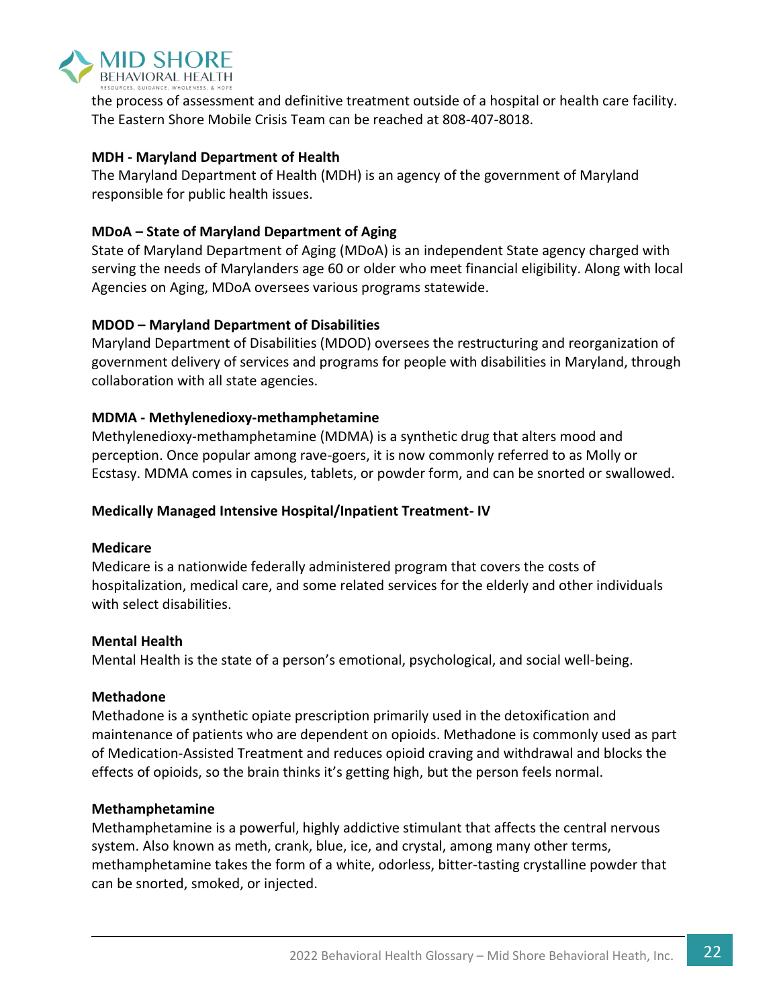

the process of assessment and definitive treatment outside of a hospital or health care facility. The Eastern Shore Mobile Crisis Team can be reached at 808-407-8018.

#### **MDH - Maryland Department of Health**

The Maryland Department of Health (MDH) is an agency of the government of Maryland responsible for public health issues.

#### **MDoA – State of Maryland Department of Aging**

State of Maryland Department of Aging (MDoA) is an independent State agency charged with serving the needs of Marylanders age 60 or older who meet financial eligibility. Along with local Agencies on Aging, MDoA oversees various programs statewide.

#### **MDOD – Maryland Department of Disabilities**

Maryland Department of Disabilities (MDOD) oversees the restructuring and reorganization of government delivery of services and programs for people with disabilities in Maryland, through collaboration with all state agencies.

#### **MDMA - Methylenedioxy-methamphetamine**

Methylenedioxy-methamphetamine (MDMA) is a synthetic drug that alters mood and perception. Once popular among rave-goers, it is now commonly referred to as Molly or Ecstasy. MDMA comes in capsules, tablets, or powder form, and can be snorted or swallowed.

#### **Medically Managed Intensive Hospital/Inpatient Treatment- IV**

#### **Medicare**

Medicare is a nationwide federally administered program that covers the costs of hospitalization, medical care, and some related services for the elderly and other individuals with select disabilities.

#### **Mental Health**

Mental Health is the state of a person's emotional, psychological, and social well-being.

#### **Methadone**

Methadone is a synthetic opiate prescription primarily used in the detoxification and maintenance of patients who are dependent on opioids. Methadone is commonly used as part of Medication-Assisted Treatment and reduces opioid craving and withdrawal and blocks the effects of opioids, so the brain thinks it's getting high, but the person feels normal.

#### **Methamphetamine**

Methamphetamine is a powerful, highly addictive stimulant that affects the central nervous system. Also known as meth, crank, blue, ice, and crystal, among many other terms, methamphetamine takes the form of a white, odorless, bitter-tasting crystalline powder that can be snorted, smoked, or injected.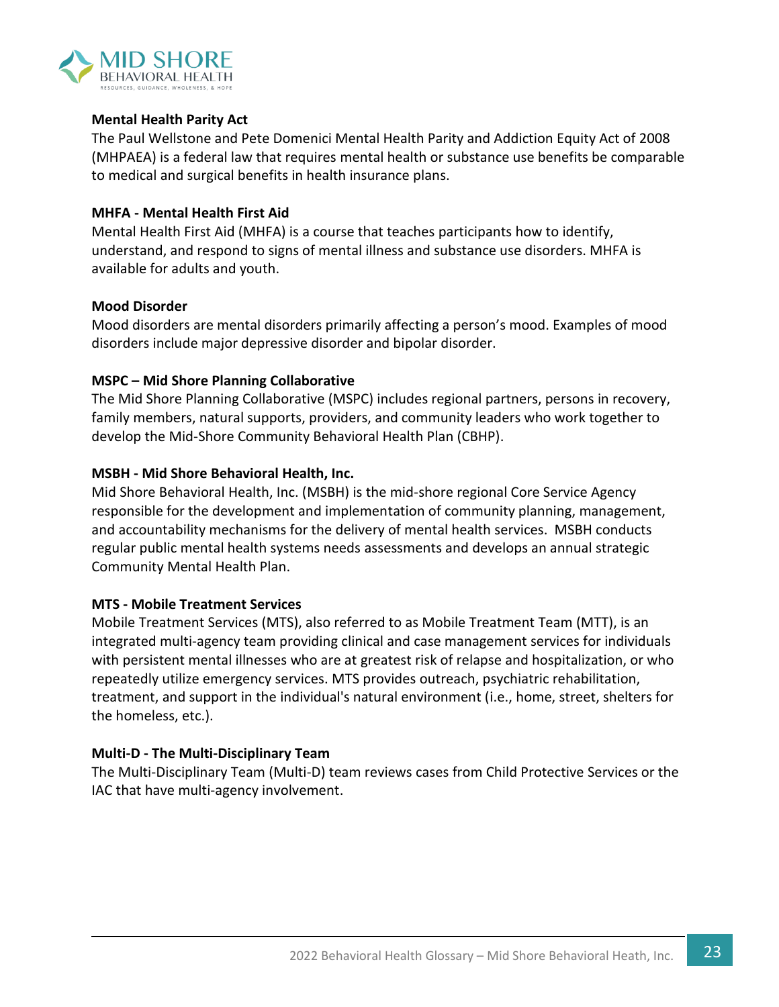

#### **Mental Health Parity Act**

The Paul Wellstone and Pete Domenici Mental Health Parity and Addiction Equity Act of 2008 (MHPAEA) is a federal law that requires mental health or substance use benefits be comparable to medical and surgical benefits in health insurance plans.

#### **MHFA - Mental Health First Aid**

Mental Health First Aid (MHFA) is a course that teaches participants how to identify, understand, and respond to signs of mental illness and substance use disorders. MHFA is available for adults and youth.

#### **Mood Disorder**

Mood disorders are mental disorders primarily affecting a person's mood. Examples of mood disorders include major depressive disorder and bipolar disorder.

#### **MSPC – Mid Shore Planning Collaborative**

The Mid Shore Planning Collaborative (MSPC) includes regional partners, persons in recovery, family members, natural supports, providers, and community leaders who work together to develop the Mid-Shore Community Behavioral Health Plan (CBHP).

#### **MSBH - Mid Shore Behavioral Health, Inc.**

Mid Shore Behavioral Health, Inc. (MSBH) is the mid-shore regional Core Service Agency responsible for the development and implementation of community planning, management, and accountability mechanisms for the delivery of mental health services. MSBH conducts regular public mental health systems needs assessments and develops an annual strategic Community Mental Health Plan.

#### **MTS - Mobile Treatment Services**

Mobile Treatment Services (MTS), also referred to as Mobile Treatment Team (MTT), is an integrated multi-agency team providing clinical and case management services for individuals with persistent mental illnesses who are at greatest risk of relapse and hospitalization, or who repeatedly utilize emergency services. MTS provides outreach, psychiatric rehabilitation, treatment, and support in the individual's natural environment (i.e., home, street, shelters for the homeless, etc.).

#### **Multi-D - The Multi-Disciplinary Team**

The Multi-Disciplinary Team (Multi-D) team reviews cases from Child Protective Services or the IAC that have multi-agency involvement.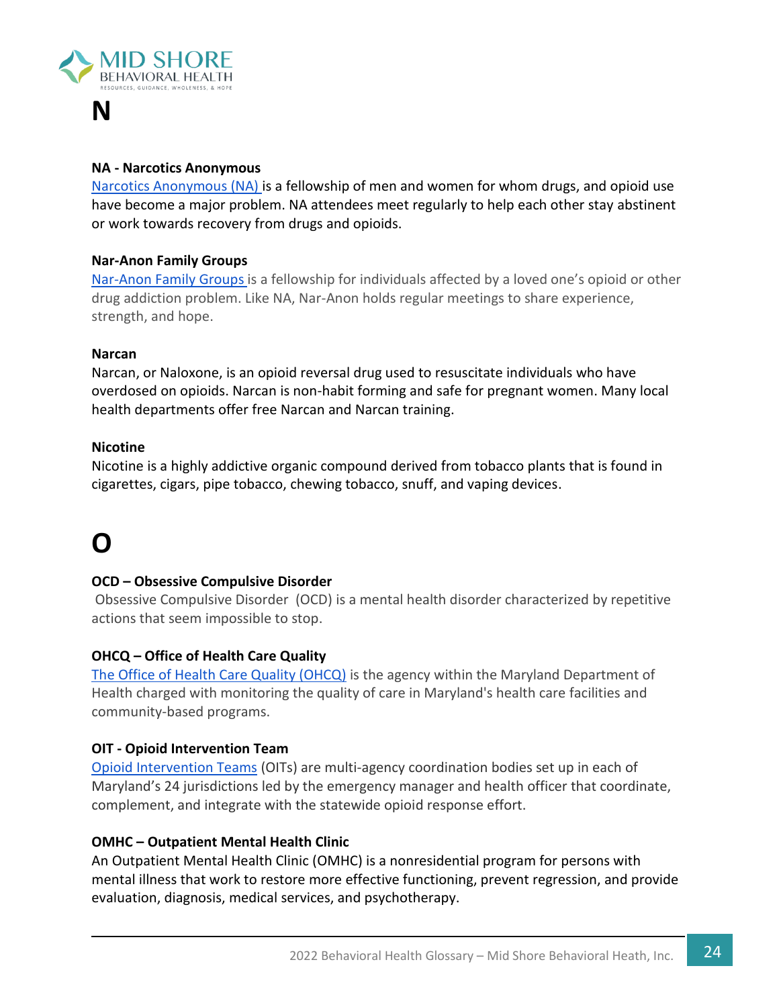

### **N**

#### **NA - Narcotics Anonymous**

Narcotics Anonymous (NA) is a fellowship of men and women for whom drugs, and opioid use have become a major problem. NA attendees meet regularly to help each other stay abstinent or work towards recovery from drugs and opioids.

#### **Nar-Anon Family Groups**

Nar-Anon Family Groups is a fellowship for individuals affected by a loved one's opioid or other drug addiction problem. Like NA, Nar-Anon holds regular meetings to share experience, strength, and hope.

#### **Narcan**

Narcan, or Naloxone, is an opioid reversal drug used to resuscitate individuals who have overdosed on opioids. Narcan is non-habit forming and safe for pregnant women. Many local health departments offer free Narcan and Narcan training.

#### **Nicotine**

Nicotine is a highly addictive organic compound derived from tobacco plants that is found in cigarettes, cigars, pipe tobacco, chewing tobacco, snuff, and vaping devices.

### **O**

#### **OCD – Obsessive Compulsive Disorder**

Obsessive Compulsive Disorder (OCD) is a mental health disorder characterized by repetitive actions that seem impossible to stop.

#### **OHCQ – Office of Health Care Quality**

[The Office of Health Care Quality \(OHCQ\)](https://health.maryland.gov/ohcq/Pages/home.aspx) is the agency within the Maryland Department of Health charged with monitoring the quality of care in Maryland's health care facilities and community-based programs.

#### **OIT - Opioid Intervention Team**

[Opioid Intervention Teams](https://beforeitstoolate.maryland.gov/opioid-intervention-teams/) (OITs) are multi-agency coordination bodies set up in each of Maryland's 24 jurisdictions led by the emergency manager and health officer that coordinate, complement, and integrate with the statewide opioid response effort.

#### **OMHC – Outpatient Mental Health Clinic**

An Outpatient Mental Health Clinic (OMHC) is a nonresidential program for persons with mental illness that work to restore more effective functioning, prevent regression, and provide evaluation, diagnosis, medical services, and psychotherapy.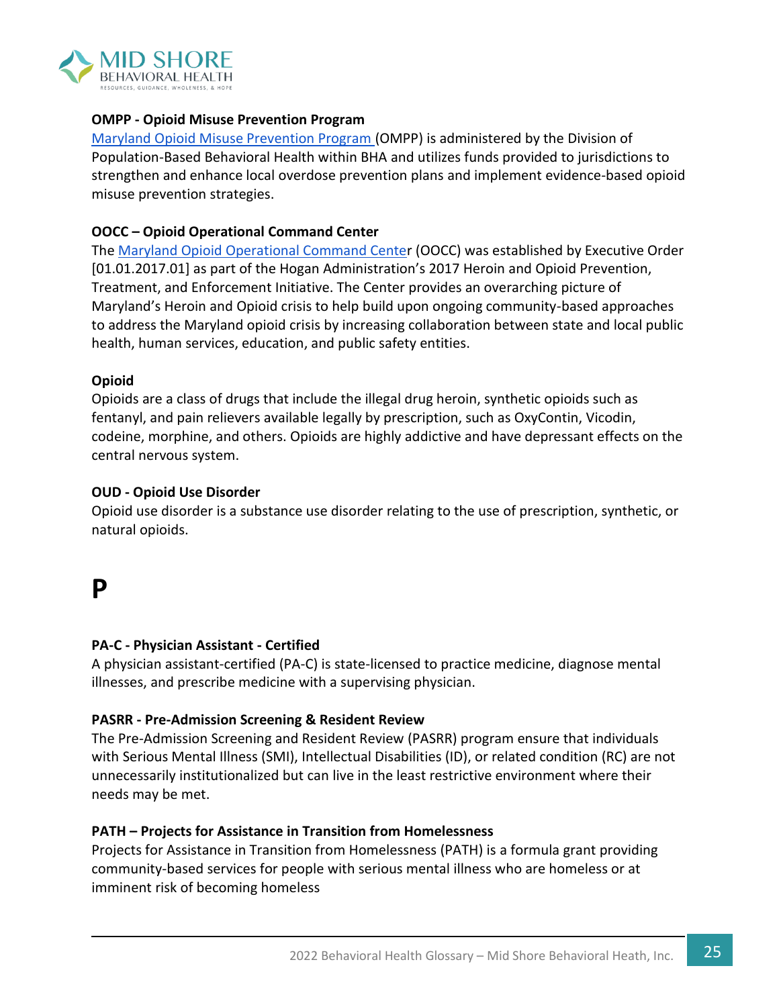

#### **OMPP - Opioid Misuse Prevention Program**

[Maryland Opioid Misuse Prevention Program \(](https://health.maryland.gov/bha/OMPP/Pages/Home.aspx)OMPP) is administered by the Division of Population-Based Behavioral Health within BHA and utilizes funds provided to jurisdictions to strengthen and enhance local overdose prevention plans and implement evidence-based opioid misuse prevention strategies.

#### **OOCC – Opioid Operational Command Center**

The [Maryland Opioid Operational Command Center](https://beforeitstoolate.maryland.gov/about-the-opioid-operational-command-center/) (OOCC) was established by Executive Order [01.01.2017.01] as part of the Hogan Administration's 2017 Heroin and Opioid Prevention, Treatment, and Enforcement Initiative. The Center provides an overarching picture of Maryland's Heroin and Opioid crisis to help build upon ongoing community-based approaches to address the Maryland opioid crisis by increasing collaboration between state and local public health, human services, education, and public safety entities.

#### **Opioid**

Opioids are a class of drugs that include the illegal drug heroin, synthetic opioids such as fentanyl, and pain relievers available legally by prescription, such as OxyContin, Vicodin, codeine, morphine, and others. Opioids are highly addictive and have depressant effects on the central nervous system.

#### **OUD - Opioid Use Disorder**

Opioid use disorder is a substance use disorder relating to the use of prescription, synthetic, or natural opioids.

### **P**

#### **PA-C - Physician Assistant - Certified**

A physician assistant-certified (PA-C) is state-licensed to practice medicine, diagnose mental illnesses, and prescribe medicine with a supervising physician.

#### **PASRR - Pre-Admission Screening & Resident Review**

The Pre-Admission Screening and Resident Review (PASRR) program ensure that individuals with Serious Mental Illness (SMI), Intellectual Disabilities (ID), or related condition (RC) are not unnecessarily institutionalized but can live in the least restrictive environment where their needs may be met.

#### **PATH – Projects for Assistance in Transition from Homelessness**

Projects for Assistance in Transition from Homelessness (PATH) is a formula grant providing community-based services for people with serious mental illness who are homeless or at imminent risk of becoming homeless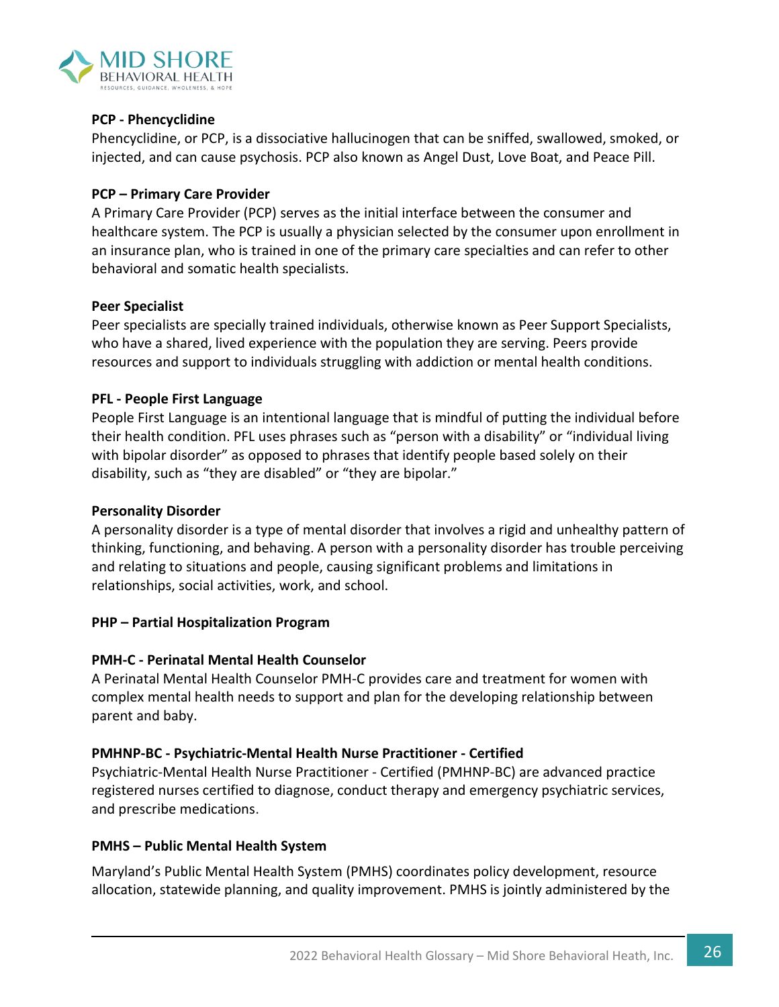

#### **PCP - Phencyclidine**

Phencyclidine, or PCP, is a dissociative hallucinogen that can be sniffed, swallowed, smoked, or injected, and can cause psychosis. PCP also known as Angel Dust, Love Boat, and Peace Pill.

#### **PCP – Primary Care Provider**

A Primary Care Provider (PCP) serves as the initial interface between the consumer and healthcare system. The PCP is usually a physician selected by the consumer upon enrollment in an insurance plan, who is trained in one of the primary care specialties and can refer to other behavioral and somatic health specialists.

#### **Peer Specialist**

Peer specialists are specially trained individuals, otherwise known as Peer Support Specialists, who have a shared, lived experience with the population they are serving. Peers provide resources and support to individuals struggling with addiction or mental health conditions.

#### **PFL - People First Language**

People First Language is an intentional language that is mindful of putting the individual before their health condition. PFL uses phrases such as "person with a disability" or "individual living with bipolar disorder" as opposed to phrases that identify people based solely on their disability, such as "they are disabled" or "they are bipolar."

#### **Personality Disorder**

A personality disorder is a type of mental disorder that involves a rigid and unhealthy pattern of thinking, functioning, and behaving. A person with a personality disorder has trouble perceiving and relating to situations and people, causing significant problems and limitations in relationships, social activities, work, and school.

#### **PHP – Partial Hospitalization Program**

#### **PMH-C - Perinatal Mental Health Counselor**

A Perinatal Mental Health Counselor PMH-C provides care and treatment for women with complex mental health needs to support and plan for the developing relationship between parent and baby.

#### **PMHNP-BC - Psychiatric-Mental Health Nurse Practitioner - Certified**

Psychiatric-Mental Health Nurse Practitioner - Certified (PMHNP-BC) are advanced practice registered nurses certified to diagnose, conduct therapy and emergency psychiatric services, and prescribe medications.

#### **PMHS – Public Mental Health System**

Maryland's Public Mental Health System (PMHS) coordinates policy development, resource allocation, statewide planning, and quality improvement. PMHS is jointly administered by the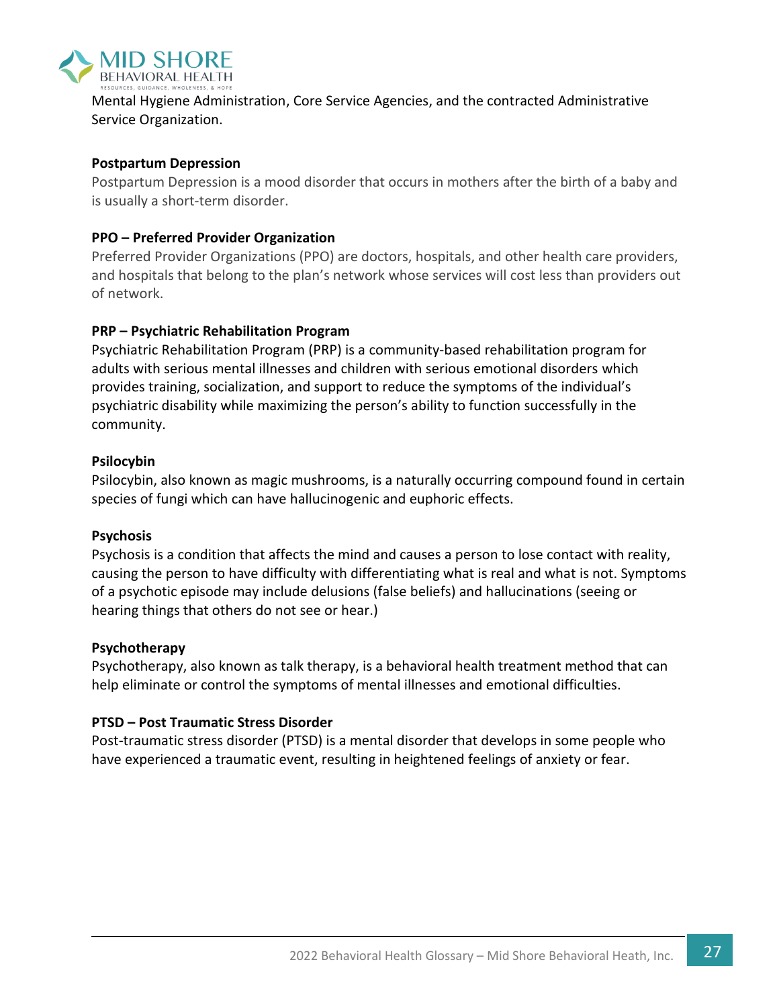

Mental Hygiene Administration, Core Service Agencies, and the contracted Administrative Service Organization.

#### **Postpartum Depression**

Postpartum Depression is a mood disorder that occurs in mothers after the birth of a baby and is usually a short-term disorder.

#### **PPO – Preferred Provider Organization**

Preferred Provider Organizations (PPO) are doctors, hospitals, and other health care providers, and hospitals that belong to the plan's network whose services will cost less than providers out of network.

#### **PRP – Psychiatric Rehabilitation Program**

Psychiatric Rehabilitation Program (PRP) is a community-based rehabilitation program for adults with serious mental illnesses and children with serious emotional disorders which provides training, socialization, and support to reduce the symptoms of the individual's psychiatric disability while maximizing the person's ability to function successfully in the community.

#### **Psilocybin**

Psilocybin, also known as magic mushrooms, is a naturally occurring compound found in certain species of fungi which can have hallucinogenic and euphoric effects.

#### **Psychosis**

Psychosis is a condition that affects the mind and causes a person to lose contact with reality, causing the person to have difficulty with differentiating what is real and what is not. Symptoms of a psychotic episode may include delusions (false beliefs) and hallucinations (seeing or hearing things that others do not see or hear.)

#### **Psychotherapy**

Psychotherapy, also known as talk therapy, is a behavioral health treatment method that can help eliminate or control the symptoms of mental illnesses and emotional difficulties.

#### **PTSD – Post Traumatic Stress Disorder**

Post-traumatic stress disorder (PTSD) is a mental disorder that develops in some people who have experienced a traumatic event, resulting in heightened feelings of anxiety or fear.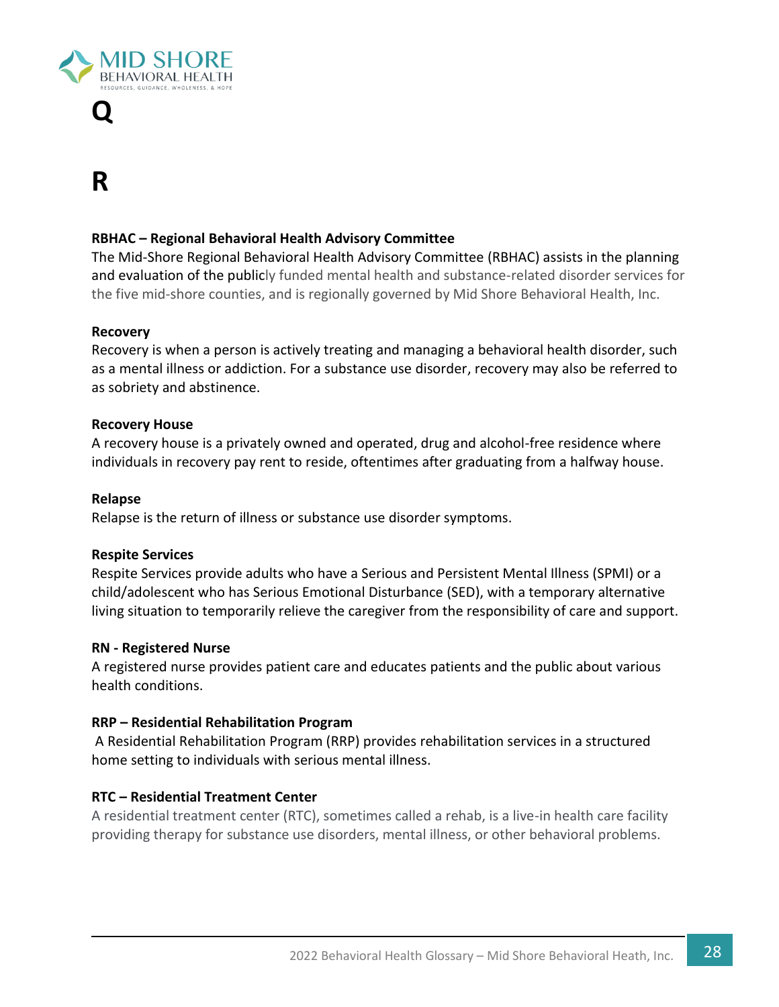

# **Q**

# **R**

#### **RBHAC – Regional Behavioral Health Advisory Committee**

The Mid-Shore Regional Behavioral Health Advisory Committee (RBHAC) assists in the planning and evaluation of the publicly funded mental health and substance-related disorder services for the five mid-shore counties, and is regionally governed by Mid Shore Behavioral Health, Inc.

#### **Recovery**

Recovery is when a person is actively treating and managing a behavioral health disorder, such as a mental illness or addiction. For a substance use disorder, recovery may also be referred to as sobriety and abstinence.

#### **Recovery House**

A recovery house is a privately owned and operated, drug and alcohol-free residence where individuals in recovery pay rent to reside, oftentimes after graduating from a halfway house.

#### **Relapse**

Relapse is the return of illness or substance use disorder symptoms.

#### **Respite Services**

Respite Services provide adults who have a Serious and Persistent Mental Illness (SPMI) or a child/adolescent who has Serious Emotional Disturbance (SED), with a temporary alternative living situation to temporarily relieve the caregiver from the responsibility of care and support.

#### **RN - Registered Nurse**

A registered nurse provides patient care and educates patients and the public about various health conditions.

#### **RRP – Residential Rehabilitation Program**

A Residential Rehabilitation Program (RRP) provides rehabilitation services in a structured home setting to individuals with serious mental illness.

#### **RTC – Residential Treatment Center**

A residential treatment center (RTC), sometimes called a rehab, is a live-in health care facility providing therapy for substance use disorders, mental illness, or other behavioral problems.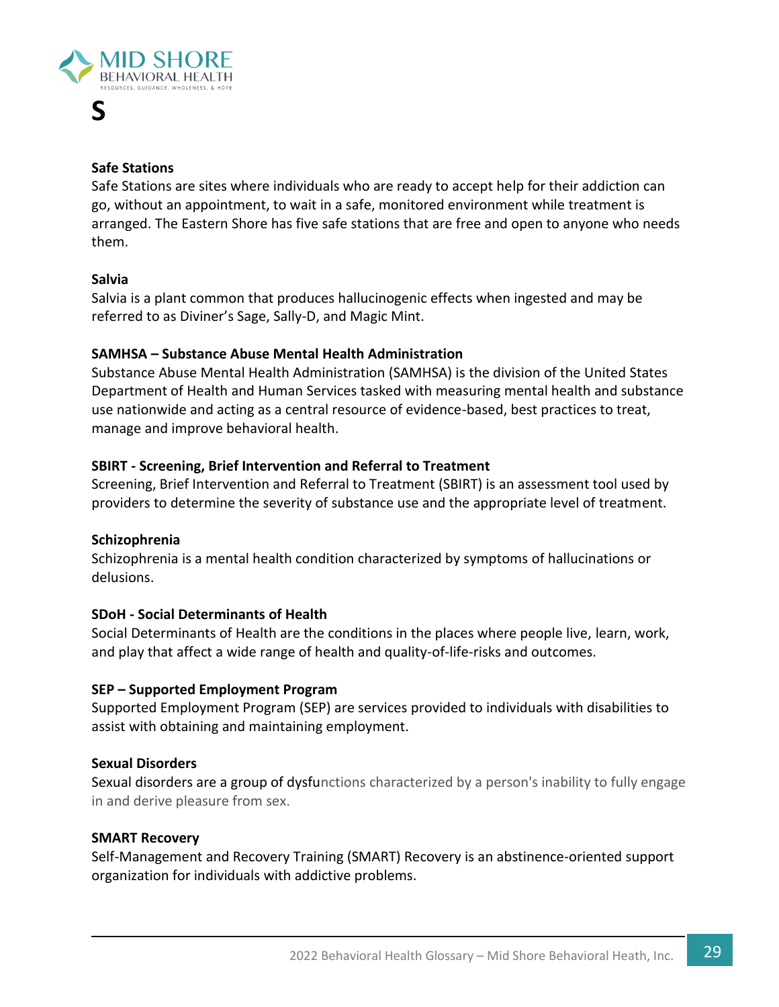

#### **Safe Stations**

**S**

Safe Stations are sites where individuals who are ready to accept help for their addiction can go, without an appointment, to wait in a safe, monitored environment while treatment is arranged. The Eastern Shore has five safe stations that are free and open to anyone who needs them.

#### **Salvia**

Salvia is a plant common that produces hallucinogenic effects when ingested and may be referred to as Diviner's Sage, Sally-D, and Magic Mint.

#### **SAMHSA – Substance Abuse Mental Health Administration**

Substance Abuse Mental Health Administration (SAMHSA) is the division of the United States Department of Health and Human Services tasked with measuring mental health and substance use nationwide and acting as a central resource of evidence-based, best practices to treat, manage and improve behavioral health.

#### **SBIRT - Screening, Brief Intervention and Referral to Treatment**

Screening, Brief Intervention and Referral to Treatment (SBIRT) is an assessment tool used by providers to determine the severity of substance use and the appropriate level of treatment.

#### **Schizophrenia**

Schizophrenia is a mental health condition characterized by symptoms of hallucinations or delusions.

#### **SDoH - Social Determinants of Health**

Social Determinants of Health are the conditions in the places where people live, learn, work, and play that affect a wide range of health and quality-of-life-risks and outcomes.

#### **SEP – Supported Employment Program**

Supported Employment Program (SEP) are services provided to individuals with disabilities to assist with obtaining and maintaining employment.

#### **Sexual Disorders**

Sexual disorders are a group of dysfunctions characterized by a person's inability to fully engage in and derive pleasure from sex.

#### **SMART Recovery**

Self-Management and Recovery Training (SMART) Recovery is an abstinence-oriented support organization for individuals with addictive problems.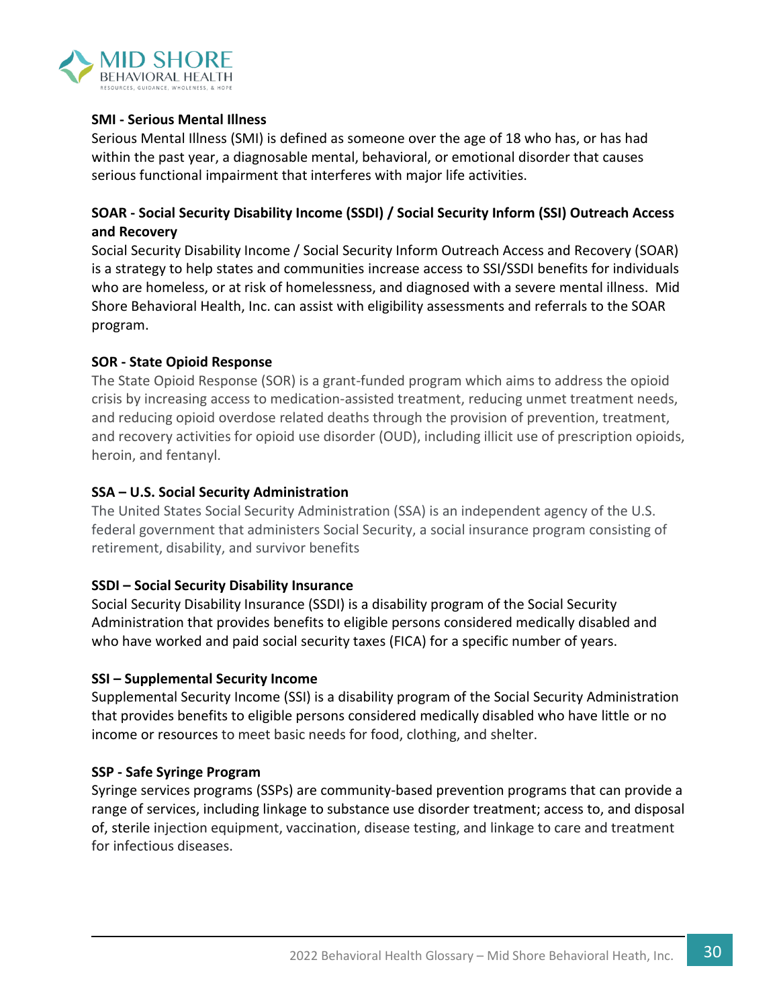

#### **SMI - Serious Mental Illness**

Serious Mental Illness (SMI) is defined as someone over the age of 18 who has, or has had within the past year, a diagnosable mental, behavioral, or emotional disorder that causes serious functional impairment that interferes with major life activities.

#### **SOAR - Social Security Disability Income (SSDI) / Social Security Inform (SSI) Outreach Access and Recovery**

Social Security Disability Income / Social Security Inform Outreach Access and Recovery (SOAR) is a strategy to help states and communities increase access to SSI/SSDI benefits for individuals who are homeless, or at risk of homelessness, and diagnosed with a severe mental illness. Mid Shore Behavioral Health, Inc. can assist with eligibility assessments and referrals to the SOAR program.

#### **SOR - State Opioid Response**

The State Opioid Response (SOR) is a grant-funded program which aims to address the opioid crisis by increasing access to medication-assisted treatment, reducing unmet treatment needs, and reducing opioid overdose related deaths through the provision of prevention, treatment, and recovery activities for opioid use disorder (OUD), including illicit use of prescription opioids, heroin, and fentanyl.

#### **SSA – U.S. Social Security Administration**

The United States Social Security Administration (SSA) is an independent agency of the U.S. federal government that administers Social Security, a social insurance program consisting of retirement, disability, and survivor benefits

#### **SSDI – Social Security Disability Insurance**

Social Security Disability Insurance (SSDI) is a disability program of the Social Security Administration that provides benefits to eligible persons considered medically disabled and who have worked and paid social security taxes (FICA) for a specific number of years.

#### **SSI – Supplemental Security Income**

Supplemental Security Income (SSI) is a disability program of the Social Security Administration that provides benefits to eligible persons considered medically disabled who have little or no income or resources to meet basic needs for food, clothing, and shelter.

#### **SSP - Safe Syringe Program**

Syringe services programs (SSPs) are community-based prevention programs that can provide a range of services, including linkage to substance use disorder treatment; access to, and disposal of, sterile injection equipment, vaccination, disease testing, and linkage to care and treatment for infectious diseases.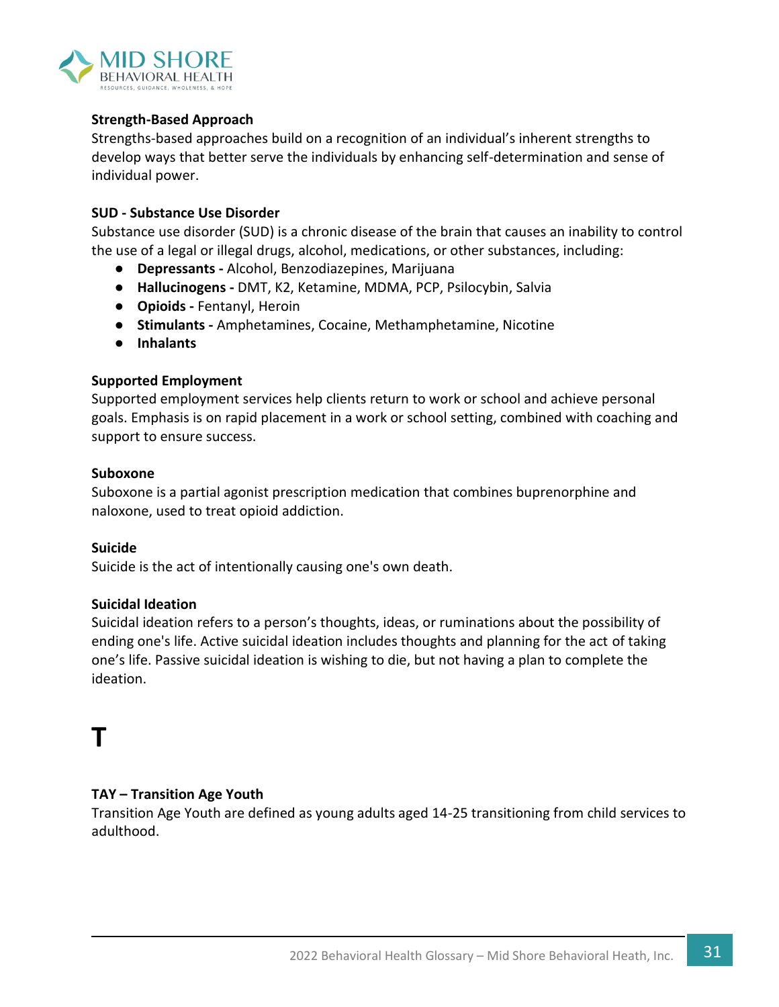

#### **Strength-Based Approach**

Strengths-based approaches build on a recognition of an individual's inherent strengths to develop ways that better serve the individuals by enhancing self-determination and sense of individual power.

#### **SUD - Substance Use Disorder**

Substance use disorder (SUD) is a chronic disease of the brain that causes an inability to control the use of a legal or illegal drugs, alcohol, medications, or other substances, including:

- **Depressants -** Alcohol, Benzodiazepines, Marijuana
- **Hallucinogens -** DMT, K2, Ketamine, MDMA, PCP, Psilocybin, Salvia
- **Opioids -** Fentanyl, Heroin
- **Stimulants -** Amphetamines, Cocaine, Methamphetamine, Nicotine
- **Inhalants**

#### **Supported Employment**

Supported employment services help clients return to work or school and achieve personal goals. Emphasis is on rapid placement in a work or school setting, combined with coaching and support to ensure success.

#### **Suboxone**

Suboxone is a partial agonist prescription medication that combines buprenorphine and naloxone, used to treat opioid addiction.

#### **Suicide**

Suicide is the act of intentionally causing one's own death.

#### **Suicidal Ideation**

Suicidal ideation refers to a person's thoughts, ideas, or ruminations about the possibility of ending one's life. Active suicidal ideation includes thoughts and planning for the act of taking one's life. Passive suicidal ideation is wishing to die, but not having a plan to complete the ideation.

## **T**

#### **TAY – Transition Age Youth**

Transition Age Youth are defined as young adults aged 14-25 transitioning from child services to adulthood.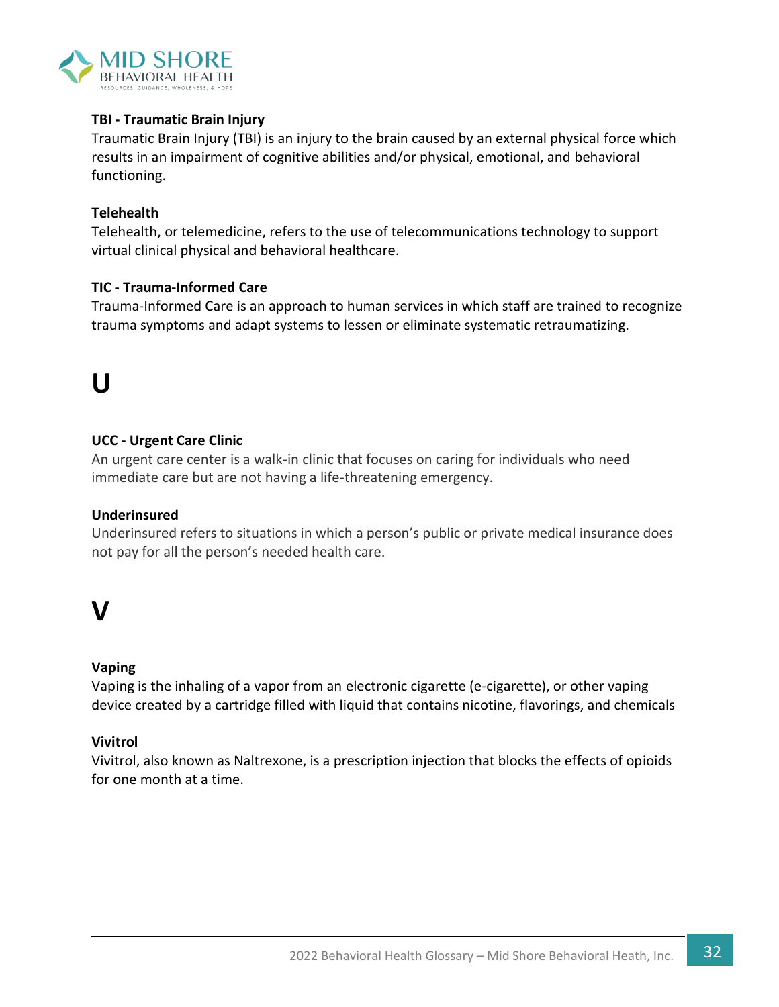

#### **TBI - Traumatic Brain Injury**

Traumatic Brain Injury (TBI) is an injury to the brain caused by an external physical force which results in an impairment of cognitive abilities and/or physical, emotional, and behavioral functioning.

#### **Telehealth**

Telehealth, or telemedicine, refers to the use of telecommunications technology to support virtual clinical physical and behavioral healthcare.

#### **TIC - Trauma-Informed Care**

Trauma-Informed Care is an approach to human services in which staff are trained to recognize trauma symptoms and adapt systems to lessen or eliminate systematic retraumatizing.

# **U**

#### **UCC - Urgent Care Clinic**

An urgent care center is a walk-in clinic that focuses on caring for individuals who need immediate care but are not having a life-threatening emergency.

#### **Underinsured**

Underinsured refers to situations in which a person's public or private medical insurance does not pay for all the person's needed health care.

### **V**

#### **Vaping**

Vaping is the inhaling of a vapor from an electronic cigarette (e-cigarette), or other vaping device created by a cartridge filled with liquid that contains nicotine, flavorings, and chemicals

#### **Vivitrol**

Vivitrol, also known as Naltrexone, is a prescription injection that blocks the effects of opioids for one month at a time.